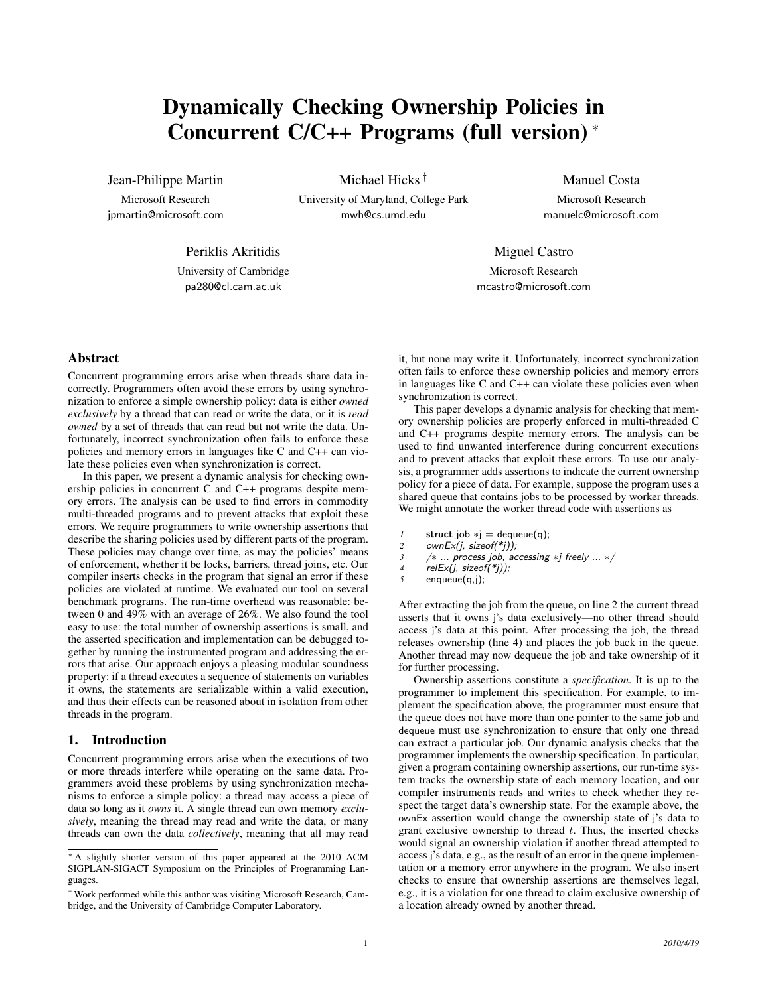# Dynamically Checking Ownership Policies in Concurrent C/C++ Programs (full version) <sup>∗</sup>

Jean-Philippe Martin

Microsoft Research jpmartin@microsoft.com Michael Hicks †

University of Maryland, College Park mwh@cs.umd.edu

Manuel Costa

Microsoft Research manuelc@microsoft.com

Periklis Akritidis

University of Cambridge pa280@cl.cam.ac.uk

Miguel Castro

Microsoft Research mcastro@microsoft.com

# Abstract

Concurrent programming errors arise when threads share data incorrectly. Programmers often avoid these errors by using synchronization to enforce a simple ownership policy: data is either *owned exclusively* by a thread that can read or write the data, or it is *read owned* by a set of threads that can read but not write the data. Unfortunately, incorrect synchronization often fails to enforce these policies and memory errors in languages like C and C++ can violate these policies even when synchronization is correct.

In this paper, we present a dynamic analysis for checking ownership policies in concurrent C and C++ programs despite memory errors. The analysis can be used to find errors in commodity multi-threaded programs and to prevent attacks that exploit these errors. We require programmers to write ownership assertions that describe the sharing policies used by different parts of the program. These policies may change over time, as may the policies' means of enforcement, whether it be locks, barriers, thread joins, etc. Our compiler inserts checks in the program that signal an error if these policies are violated at runtime. We evaluated our tool on several benchmark programs. The run-time overhead was reasonable: between 0 and 49% with an average of 26%. We also found the tool easy to use: the total number of ownership assertions is small, and the asserted specification and implementation can be debugged together by running the instrumented program and addressing the errors that arise. Our approach enjoys a pleasing modular soundness property: if a thread executes a sequence of statements on variables it owns, the statements are serializable within a valid execution, and thus their effects can be reasoned about in isolation from other threads in the program.

# 1. Introduction

Concurrent programming errors arise when the executions of two or more threads interfere while operating on the same data. Programmers avoid these problems by using synchronization mechanisms to enforce a simple policy: a thread may access a piece of data so long as it *owns* it. A single thread can own memory *exclusively*, meaning the thread may read and write the data, or many threads can own the data *collectively*, meaning that all may read it, but none may write it. Unfortunately, incorrect synchronization often fails to enforce these ownership policies and memory errors in languages like C and C++ can violate these policies even when synchronization is correct.

This paper develops a dynamic analysis for checking that memory ownership policies are properly enforced in multi-threaded C and C++ programs despite memory errors. The analysis can be used to find unwanted interference during concurrent executions and to prevent attacks that exploit these errors. To use our analysis, a programmer adds assertions to indicate the current ownership policy for a piece of data. For example, suppose the program uses a shared queue that contains jobs to be processed by worker threads. We might annotate the worker thread code with assertions as

- *1* struct job  $*j$  = dequeue(q);<br>*2* ownEx(*i* sizeof(\**i*))
- *2* ownEx(j, sizeof(\*j));
- *3* /∗ ... process job, accessing ∗j freely ... ∗/
- *4* relEx(j, sizeof(\*j));
- *5* enqueue(q,j);

After extracting the job from the queue, on line 2 the current thread asserts that it owns j's data exclusively—no other thread should access j's data at this point. After processing the job, the thread releases ownership (line 4) and places the job back in the queue. Another thread may now dequeue the job and take ownership of it for further processing.

Ownership assertions constitute a *specification*. It is up to the programmer to implement this specification. For example, to implement the specification above, the programmer must ensure that the queue does not have more than one pointer to the same job and dequeue must use synchronization to ensure that only one thread can extract a particular job. Our dynamic analysis checks that the programmer implements the ownership specification. In particular, given a program containing ownership assertions, our run-time system tracks the ownership state of each memory location, and our compiler instruments reads and writes to check whether they respect the target data's ownership state. For the example above, the ownEx assertion would change the ownership state of j's data to grant exclusive ownership to thread  $t$ . Thus, the inserted checks would signal an ownership violation if another thread attempted to access j's data, e.g., as the result of an error in the queue implementation or a memory error anywhere in the program. We also insert checks to ensure that ownership assertions are themselves legal, e.g., it is a violation for one thread to claim exclusive ownership of a location already owned by another thread.

<sup>∗</sup> A slightly shorter version of this paper appeared at the 2010 ACM SIGPLAN-SIGACT Symposium on the Principles of Programming Languages.

<sup>†</sup> Work performed while this author was visiting Microsoft Research, Cambridge, and the University of Cambridge Computer Laboratory.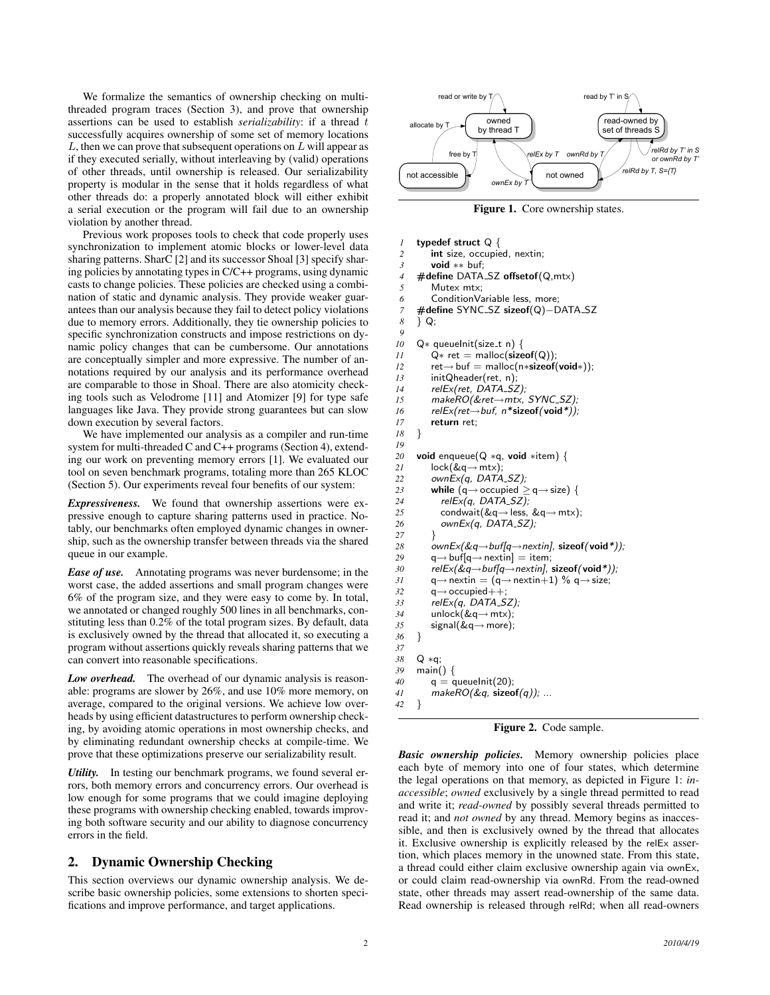We formalize the semantics of ownership checking on multithreaded program traces (Section 3), and prove that ownership assertions can be used to establish *serializability*: if a thread t successfully acquires ownership of some set of memory locations  $L$ , then we can prove that subsequent operations on  $L$  will appear as if they executed serially, without interleaving by (valid) operations of other threads, until ownership is released. Our serializability property is modular in the sense that it holds regardless of what other threads do: a properly annotated block will either exhibit a serial execution or the program will fail due to an ownership violation by another thread.

Previous work proposes tools to check that code properly uses synchronization to implement atomic blocks or lower-level data sharing patterns. SharC [2] and its successor Shoal [3] specify sharing policies by annotating types in C/C++ programs, using dynamic casts to change policies. These policies are checked using a combination of static and dynamic analysis. They provide weaker guarantees than our analysis because they fail to detect policy violations due to memory errors. Additionally, they tie ownership policies to specific synchronization constructs and impose restrictions on dynamic policy changes that can be cumbersome. Our annotations are conceptually simpler and more expressive. The number of annotations required by our analysis and its performance overhead are comparable to those in Shoal. There are also atomicity checking tools such as Velodrome [11] and Atomizer [9] for type safe languages like Java. They provide strong guarantees but can slow down execution by several factors.

We have implemented our analysis as a compiler and run-time system for multi-threaded C and C++ programs (Section 4), extending our work on preventing memory errors [1]. We evaluated our tool on seven benchmark programs, totaling more than 265 KLOC (Section 5). Our experiments reveal four benefits of our system:

*Expressiveness.* We found that ownership assertions were expressive enough to capture sharing patterns used in practice. Notably, our benchmarks often employed dynamic changes in ownership, such as the ownership transfer between threads via the shared queue in our example.

*Ease of use.* Annotating programs was never burdensome; in the worst case, the added assertions and small program changes were 6% of the program size, and they were easy to come by. In total, we annotated or changed roughly 500 lines in all benchmarks, constituting less than 0.2% of the total program sizes. By default, data is exclusively owned by the thread that allocated it, so executing a program without assertions quickly reveals sharing patterns that we can convert into reasonable specifications.

*Low overhead.* The overhead of our dynamic analysis is reasonable: programs are slower by 26%, and use 10% more memory, on average, compared to the original versions. We achieve low overheads by using efficient datastructures to perform ownership checking, by avoiding atomic operations in most ownership checks, and by eliminating redundant ownership checks at compile-time. We prove that these optimizations preserve our serializability result.

*Utility.* In testing our benchmark programs, we found several errors, both memory errors and concurrency errors. Our overhead is low enough for some programs that we could imagine deploying these programs with ownership checking enabled, towards improving both software security and our ability to diagnose concurrency errors in the field.

# 2. Dynamic Ownership Checking

This section overviews our dynamic ownership analysis. We describe basic ownership policies, some extensions to shorten specifications and improve performance, and target applications.



Figure 1. Core ownership states.

```
1 typedef struct Q {
2) change the latest Q_1 int size, occupied, nextin;
\begin{array}{ll}\n 3 & \text{void } ** \text{buf}; \\
 \hline\n 0 & \text{both} \\
 0 & \text{both} \\
 0 & \text{both} \\
 0 & \text{both} \\
 0 & \text{both} \\
 0 & \text{both} \\
 0 & \text{both} \\
 0 & \text{both} \\
 0 & \text{both} \\
 0 & \text{both} \\
 0 & \text{both} \\
 0 & \text{both} \\
 0 & \text{both} \\
 0 & \text{both} \\
 0 & \text{both} \\
 0 & \text{both} \\
 0 & \text{both} \\
 0 & \text{both} \\
 0 & \text{both} \\
 0 & \text{both} \\
 0 & \text{both} \\
 0 & \4 #define DATA_SZ offsetof(Q,mtx)<br>5 Mutex mtx:
6 ConditionVariable less, more;
7     #define SYNC<sub>-</sub>SZ sizeof(Q)−DATA<sub>-</sub>SZ<br><sup>8    }O</sub></sup>
\overline{y} for the lower-left corner and width, height. Height. Height. Height. Height. Height. Height. Height. Height. Height. Height. Height. Height. Height. Height. Height. Height. Height. Height. Height. Height. Height.
10 Q* queueinit(size_t n) {<br>
11 Q∗ ret = malloc(sizeof(Q));
 3 void ∗∗ buf;
 5 Mutex mtx;
 8 } Q;
 9
10 Q* queuelnit(size_t n) {
12 ret→ buf = malloc(n*sizeof(void*));
13 initQheader(ret, n);
14 relEx(ret, DATA_SZ);
15 makeRO(&ret→mtx, SYNC_SZ);
16 relEx(ret→buf, n*sizeof(void*));
17 return ret;
18 }
19
20 void enqueue(Q * q, void *item) {<br>21 lock(\&q \rightarrow mtx);
            21 lock(&q→ mtx);
22 ownEx(q, DATA_SZ);<br>23 while (q -> occupied >
            while (q \rightarrow occupied \geq q\rightarrow size) {
24 relEx(q, DATA_SZ);
25 condwait(&q→ less, &q→ mtx);
26 ownEx(q, DATA_SZ);
27 }
28 ownEx(\&q \rightarrowbuf[q \rightarrownextin], sizeof(void*));<br>29 q \rightarrowbuf[q \rightarrownextin] = item;
            q \rightarrow buf[q \rightarrow nextin] = item;
30 relEx(&q \rightarrowbuf[q\rightarrownextin], sizeof(void*));
31 q→ nextin = (q→ nextin+1) % q→ size;
32 \qquad q \rightarrow \text{occupied++}:33 relEx(q, DATA\_SZ);<br>34 unlock(\&q \rightarrow mtx);34 unlock(&q→ mtx);
35 signal(&q→ more);
36 }
37
38 Q ∗q;
      39 main() {
40 \qquad q = queuelnit(20);
41 makeRO(&q, sizeof(q)); ...
42 }
```
Figure 2. Code sample.

*Basic ownership policies.* Memory ownership policies place each byte of memory into one of four states, which determine the legal operations on that memory, as depicted in Figure 1: *inaccessible*; *owned* exclusively by a single thread permitted to read and write it; *read-owned* by possibly several threads permitted to read it; and *not owned* by any thread. Memory begins as inaccessible, and then is exclusively owned by the thread that allocates it. Exclusive ownership is explicitly released by the relEx assertion, which places memory in the unowned state. From this state, a thread could either claim exclusive ownership again via ownEx, or could claim read-ownership via ownRd. From the read-owned state, other threads may assert read-ownership of the same data. Read ownership is released through relRd; when all read-owners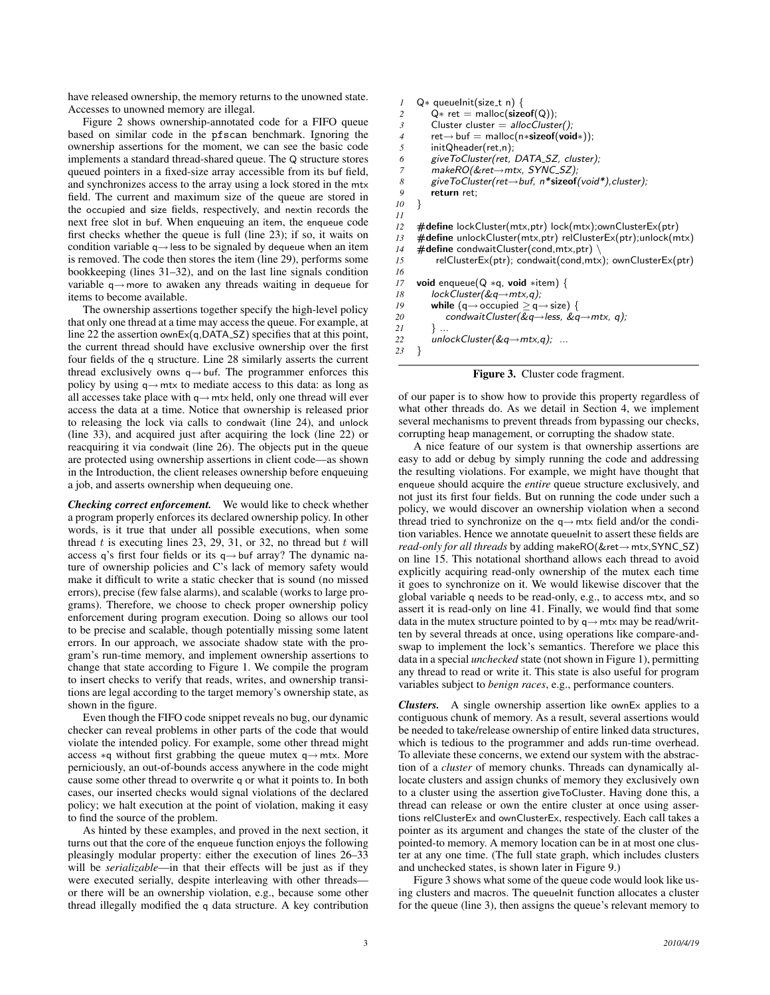have released ownership, the memory returns to the unowned state. Accesses to unowned memory are illegal.

Figure 2 shows ownership-annotated code for a FIFO queue based on similar code in the pfscan benchmark. Ignoring the ownership assertions for the moment, we can see the basic code implements a standard thread-shared queue. The Q structure stores queued pointers in a fixed-size array accessible from its buf field, and synchronizes access to the array using a lock stored in the mtx field. The current and maximum size of the queue are stored in the occupied and size fields, respectively, and nextin records the next free slot in buf. When enqueuing an item, the enqueue code first checks whether the queue is full (line 23); if so, it waits on condition variable  $q \rightarrow$  less to be signaled by dequeue when an item is removed. The code then stores the item (line 29), performs some bookkeeping (lines 31–32), and on the last line signals condition variable q→ more to awaken any threads waiting in dequeue for items to become available.

The ownership assertions together specify the high-level policy that only one thread at a time may access the queue. For example, at line 22 the assertion ownE $\times$ (q,DATA\_SZ) specifies that at this point, the current thread should have exclusive ownership over the first four fields of the q structure. Line 28 similarly asserts the current thread exclusively owns  $q \rightarrow$  buf. The programmer enforces this policy by using  $q \rightarrow mtx$  to mediate access to this data: as long as all accesses take place with  $q \rightarrow m\tau x$  held, only one thread will ever access the data at a time. Notice that ownership is released prior to releasing the lock via calls to condwait (line 24), and unlock (line 33), and acquired just after acquiring the lock (line 22) or reacquiring it via condwait (line 26). The objects put in the queue are protected using ownership assertions in client code—as shown in the Introduction, the client releases ownership before enqueuing a job, and asserts ownership when dequeuing one.

*Checking correct enforcement.* We would like to check whether a program properly enforces its declared ownership policy. In other words, is it true that under all possible executions, when some thread  $t$  is executing lines 23, 29, 31, or 32, no thread but  $t$  will access q's first four fields or its q→ buf array? The dynamic nature of ownership policies and C's lack of memory safety would make it difficult to write a static checker that is sound (no missed errors), precise (few false alarms), and scalable (works to large programs). Therefore, we choose to check proper ownership policy enforcement during program execution. Doing so allows our tool to be precise and scalable, though potentially missing some latent errors. In our approach, we associate shadow state with the program's run-time memory, and implement ownership assertions to change that state according to Figure 1. We compile the program to insert checks to verify that reads, writes, and ownership transitions are legal according to the target memory's ownership state, as shown in the figure.

Even though the FIFO code snippet reveals no bug, our dynamic checker can reveal problems in other parts of the code that would violate the intended policy. For example, some other thread might access ∗q without first grabbing the queue mutex q→ mtx. More perniciously, an out-of-bounds access anywhere in the code might cause some other thread to overwrite q or what it points to. In both cases, our inserted checks would signal violations of the declared policy; we halt execution at the point of violation, making it easy to find the source of the problem.

As hinted by these examples, and proved in the next section, it turns out that the core of the enqueue function enjoys the following pleasingly modular property: either the execution of lines 26–33 will be *serializable*—in that their effects will be just as if they were executed serially, despite interleaving with other threads or there will be an ownership violation, e.g., because some other thread illegally modified the q data structure. A key contribution

```
1 Q∗ queueInit(size_t n) {
2 Q^* ret = malloc(sizeof(Q));
 3 Cluster cluster = allocCluster();<br>4 ret \rightarrow buf = malloc(n*sizeof(yoid
        \text{ret} \rightarrow \text{buf} = \text{malloc}(\text{n} * \text{sizeof}(\text{void}*));
 5 initQheader(ret,n);
 6 giveToCluster(ret, DATA_SZ, cluster);
 7 makeRO(&ret→mtx, SYNC SZ);
8 giveToCluster(ret→buf, n*sizeof(void*),cluster);<br>9 return ret:
        return ret;
10 }
11
12 #define lockCluster(mtx,ptr) lock(mtx);ownClusterEx(ptr)
13 #define unlockCluster(mtx,ptr) relClusterEx(ptr);unlock(mtx)
14 #define condwaitCluster(cond, mtx, ptr)
15 relClusterEx(ptr); condwait(cond,mtx); ownClusterEx(ptr)
16
17 void enqueue(Q ∗q, void ∗item) {
18 lockCluster(&q→mtx,q);
19 while (q \rightarrow occupied \geq q \rightarrow size) {
20 condwaitCluster(&q→less, &q→mtx, q);
21 } ...
        22 unlockCluster(&q→mtx,q); ...
23 }
```
Figure 3. Cluster code fragment.

of our paper is to show how to provide this property regardless of what other threads do. As we detail in Section 4, we implement several mechanisms to prevent threads from bypassing our checks, corrupting heap management, or corrupting the shadow state.

A nice feature of our system is that ownership assertions are easy to add or debug by simply running the code and addressing the resulting violations. For example, we might have thought that enqueue should acquire the *entire* queue structure exclusively, and not just its first four fields. But on running the code under such a policy, we would discover an ownership violation when a second thread tried to synchronize on the  $q \rightarrow m\tau x$  field and/or the condition variables. Hence we annotate queueInit to assert these fields are *read-only for all threads* by adding makeRO(&ret→ mtx, SYNC\_SZ) on line 15. This notational shorthand allows each thread to avoid explicitly acquiring read-only ownership of the mutex each time it goes to synchronize on it. We would likewise discover that the global variable q needs to be read-only, e.g., to access mtx, and so assert it is read-only on line 41. Finally, we would find that some data in the mutex structure pointed to by  $q \rightarrow m x$  may be read/written by several threads at once, using operations like compare-andswap to implement the lock's semantics. Therefore we place this data in a special *unchecked* state (not shown in Figure 1), permitting any thread to read or write it. This state is also useful for program variables subject to *benign races*, e.g., performance counters.

*Clusters.* A single ownership assertion like ownEx applies to a contiguous chunk of memory. As a result, several assertions would be needed to take/release ownership of entire linked data structures, which is tedious to the programmer and adds run-time overhead. To alleviate these concerns, we extend our system with the abstraction of a *cluster* of memory chunks. Threads can dynamically allocate clusters and assign chunks of memory they exclusively own to a cluster using the assertion giveToCluster. Having done this, a thread can release or own the entire cluster at once using assertions relClusterEx and ownClusterEx, respectively. Each call takes a pointer as its argument and changes the state of the cluster of the pointed-to memory. A memory location can be in at most one cluster at any one time. (The full state graph, which includes clusters and unchecked states, is shown later in Figure 9.)

Figure 3 shows what some of the queue code would look like using clusters and macros. The queuelnit function allocates a cluster for the queue (line 3), then assigns the queue's relevant memory to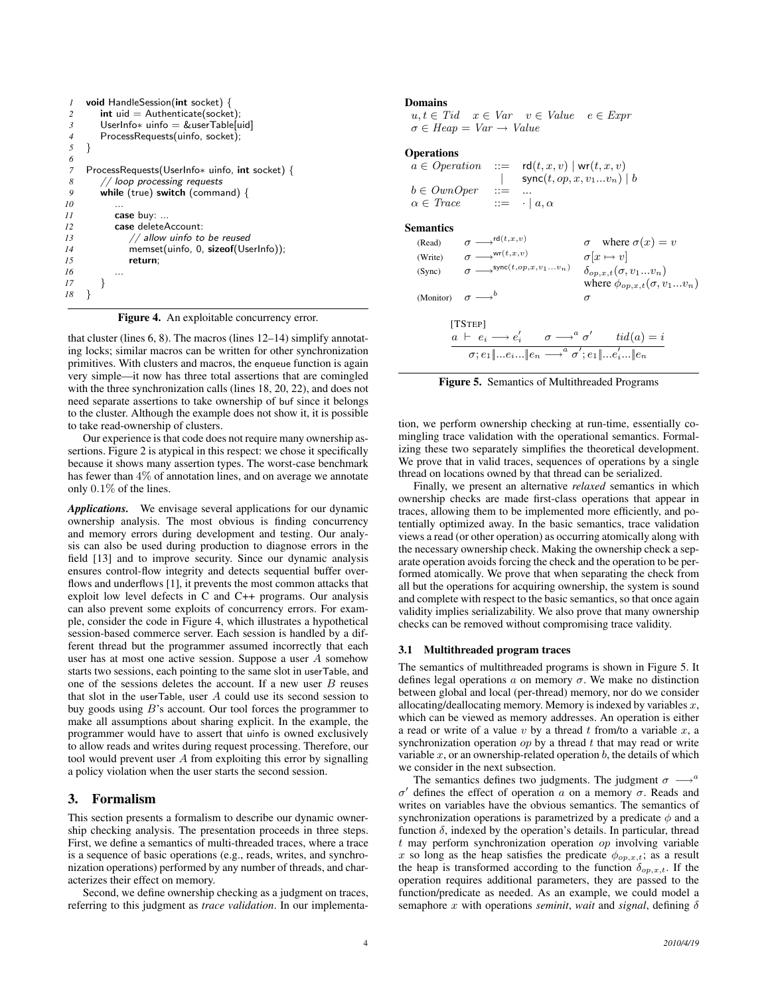```
1 void HandleSession(int socket) {
2 int uid = Authenticate(socket);
3 UserInfo∗ uinfo = &userTable[uid]<br>4 ProcessRequests(uinfo, socket);
         ProcessRequests(uinfo, socket);
5 }
6
7 ProcessRequests(UserInfo∗ uinfo, int socket) {
8 // loop processing requests<br>9 while (true) switch (comma
         while (true) switch (command) {
10 ...
11 case buy: ...
12 case deleteAccount:
13 // allow uinfo to be reused<br>14 memset(uinfo, 0, sizeof(Use
14 memset(uinfo, 0, sizeof(UserInfo));<br>
15 return:
                15 return;
16 ...
17 }
18 }
```
Figure 4. An exploitable concurrency error.

that cluster (lines 6, 8). The macros (lines 12–14) simplify annotating locks; similar macros can be written for other synchronization primitives. With clusters and macros, the enqueue function is again very simple—it now has three total assertions that are comingled with the three synchronization calls (lines 18, 20, 22), and does not need separate assertions to take ownership of buf since it belongs to the cluster. Although the example does not show it, it is possible to take read-ownership of clusters.

Our experience is that code does not require many ownership assertions. Figure 2 is atypical in this respect: we chose it specifically because it shows many assertion types. The worst-case benchmark has fewer than 4% of annotation lines, and on average we annotate only 0.1% of the lines.

*Applications.* We envisage several applications for our dynamic ownership analysis. The most obvious is finding concurrency and memory errors during development and testing. Our analysis can also be used during production to diagnose errors in the field [13] and to improve security. Since our dynamic analysis ensures control-flow integrity and detects sequential buffer overflows and underflows [1], it prevents the most common attacks that exploit low level defects in C and C++ programs. Our analysis can also prevent some exploits of concurrency errors. For example, consider the code in Figure 4, which illustrates a hypothetical session-based commerce server. Each session is handled by a different thread but the programmer assumed incorrectly that each user has at most one active session. Suppose a user A somehow starts two sessions, each pointing to the same slot in userTable, and one of the sessions deletes the account. If a new user  $B$  reuses that slot in the userTable, user A could use its second session to buy goods using  $B$ 's account. Our tool forces the programmer to make all assumptions about sharing explicit. In the example, the programmer would have to assert that uinfo is owned exclusively to allow reads and writes during request processing. Therefore, our tool would prevent user A from exploiting this error by signalling a policy violation when the user starts the second session.

# 3. Formalism

This section presents a formalism to describe our dynamic ownership checking analysis. The presentation proceeds in three steps. First, we define a semantics of multi-threaded traces, where a trace is a sequence of basic operations (e.g., reads, writes, and synchronization operations) performed by any number of threads, and characterizes their effect on memory.

Second, we define ownership checking as a judgment on traces, referring to this judgment as *trace validation*. In our implementa-

#### Domains

 $u, t \in Tid \quad x \in Var \quad v \in Value \quad e \in Expr$  $\sigma \in \text{Heap} = \text{Var} \rightarrow \text{Value}$ 

#### **Operations**

 $a \in Operation$  ::=  $rd(t, x, v) | wr(t, x, v)$  $|\quad \text{sync}(t, op, x, v_1...v_n) | b$ <br> $::=$  ...  $b \in OwnOper$  $\alpha \in Trace \qquad ::= \qquad | \; a, \alpha$ 

## **Semantics**



Figure 5. Semantics of Multithreaded Programs

tion, we perform ownership checking at run-time, essentially comingling trace validation with the operational semantics. Formalizing these two separately simplifies the theoretical development. We prove that in valid traces, sequences of operations by a single thread on locations owned by that thread can be serialized.

Finally, we present an alternative *relaxed* semantics in which ownership checks are made first-class operations that appear in traces, allowing them to be implemented more efficiently, and potentially optimized away. In the basic semantics, trace validation views a read (or other operation) as occurring atomically along with the necessary ownership check. Making the ownership check a separate operation avoids forcing the check and the operation to be performed atomically. We prove that when separating the check from all but the operations for acquiring ownership, the system is sound and complete with respect to the basic semantics, so that once again validity implies serializability. We also prove that many ownership checks can be removed without compromising trace validity.

#### 3.1 Multithreaded program traces

The semantics of multithreaded programs is shown in Figure 5. It defines legal operations  $\alpha$  on memory  $\sigma$ . We make no distinction between global and local (per-thread) memory, nor do we consider allocating/deallocating memory. Memory is indexed by variables  $x$ , which can be viewed as memory addresses. An operation is either a read or write of a value  $v$  by a thread  $t$  from/to a variable  $x$ , a synchronization operation  $op$  by a thread  $t$  that may read or write variable  $x$ , or an ownership-related operation  $b$ , the details of which we consider in the next subsection.

The semantics defines two judgments. The judgment  $\sigma \longrightarrow^a$  $σ'$  defines the effect of operation a on a memory  $σ$ . Reads and writes on variables have the obvious semantics. The semantics of synchronization operations is parametrized by a predicate  $\phi$  and a function  $\delta$ , indexed by the operation's details. In particular, thread  $t$  may perform synchronization operation  $op$  involving variable x so long as the heap satisfies the predicate  $\phi_{op,x,t}$ ; as a result the heap is transformed according to the function  $\delta_{op,x,t}$ . If the operation requires additional parameters, they are passed to the function/predicate as needed. As an example, we could model a semaphore x with operations *seminit*, *wait* and *signal*, defining δ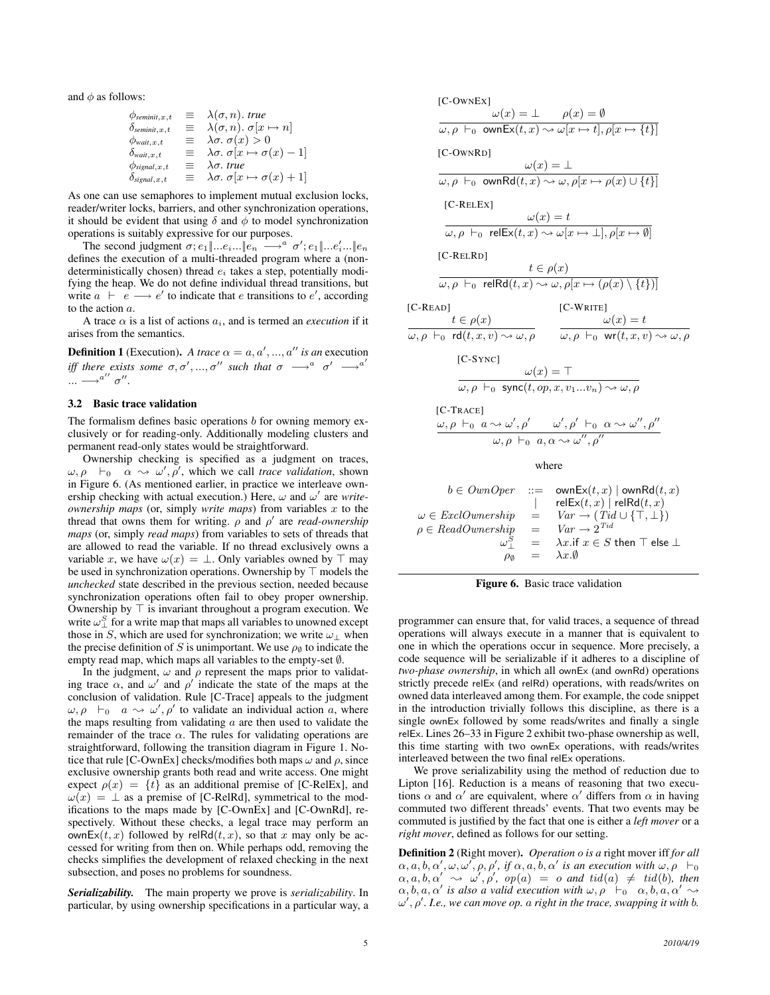and  $\phi$  as follows:

$$
\phi_{semiit,x,t} \equiv \lambda(\sigma, n). \text{ true}
$$
\n
$$
\delta_{semiit,x,t} \equiv \lambda(\sigma, n). \sigma[x \mapsto n]
$$
\n
$$
\phi_{wait,x,t} \equiv \lambda \sigma. \sigma(x) > 0
$$
\n
$$
\delta_{wait,x,t} \equiv \lambda \sigma. \sigma[x \mapsto \sigma(x) - 1]
$$
\n
$$
\phi_{signal,x,t} \equiv \lambda \sigma. \text{ true}
$$
\n
$$
\delta_{signal,x,t} \equiv \lambda \sigma. \text{ true}
$$

As one can use semaphores to implement mutual exclusion locks, reader/writer locks, barriers, and other synchronization operations, it should be evident that using  $\delta$  and  $\phi$  to model synchronization operations is suitably expressive for our purposes.

The second judgment  $\sigma$ ;  $e_1$ ||... $e_i$ ....|| $e_n \rightarrow a \sigma'$ ;  $e_1$ ||... $e'_i$ ...|| $e_n$ defines the execution of a multi-threaded program where a (nondeterministically chosen) thread  $e_i$  takes a step, potentially modifying the heap. We do not define individual thread transitions, but write  $a \vdash e \longrightarrow e'$  to indicate that e transitions to e', according to the action a.

A trace  $\alpha$  is a list of actions  $a_i$ , and is termed an *execution* if it arises from the semantics.

**Definition 1** (Execution). *A trace*  $\alpha = a, a', ..., a''$  *is an* execution *iff there exists some*  $\sigma, \sigma', ..., \sigma''$  *such that*  $\sigma \longrightarrow^a \sigma' \longrightarrow^a$  $\cdots \longrightarrow^{a''} \sigma''$ .

#### 3.2 Basic trace validation

The formalism defines basic operations b for owning memory exclusively or for reading-only. Additionally modeling clusters and permanent read-only states would be straightforward.

Ownership checking is specified as a judgment on traces,  $\omega, \rho \quad \vdash_0 \quad \alpha \rightarrow \omega', \rho'$ , which we call *trace validation*, shown in Figure 6. (As mentioned earlier, in practice we interleave ownership checking with actual execution.) Here,  $\omega$  and  $\omega'$  are *writeownership maps* (or, simply *write maps*) from variables x to the thread that owns them for writing.  $\rho$  and  $\rho'$  are *read-ownership maps* (or, simply *read maps*) from variables to sets of threads that are allowed to read the variable. If no thread exclusively owns a variable x, we have  $\omega(x) = \bot$ . Only variables owned by  $\top$  may be used in synchronization operations. Ownership by  $\top$  models the *unchecked* state described in the previous section, needed because synchronization operations often fail to obey proper ownership. Ownership by  $\top$  is invariant throughout a program execution. We write  $\omega_{\perp}^{S}$  for a write map that maps all variables to unowned except those in S, which are used for synchronization; we write  $\omega_{\perp}$  when the precise definition of S is unimportant. We use  $\rho_{\emptyset}$  to indicate the empty read map, which maps all variables to the empty-set  $\emptyset$ .

In the judgment,  $\omega$  and  $\rho$  represent the maps prior to validating trace  $\alpha$ , and  $\omega'$  and  $\rho'$  indicate the state of the maps at the conclusion of validation. Rule [C-Trace] appeals to the judgment  $\omega, \rho \vdash_0 a \leadsto \omega', \rho'$  to validate an individual action a, where the maps resulting from validating  $a$  are then used to validate the remainder of the trace  $\alpha$ . The rules for validating operations are straightforward, following the transition diagram in Figure 1. Notice that rule [C-OwnEx] checks/modifies both maps  $\omega$  and  $\rho$ , since exclusive ownership grants both read and write access. One might expect  $\rho(x) = \{t\}$  as an additional premise of [C-RelEx], and  $\omega(x) = \perp$  as a premise of [C-RelRd], symmetrical to the modifications to the maps made by [C-OwnEx] and [C-OwnRd], respectively. Without these checks, a legal trace may perform an ownEx(t, x) followed by relRd(t, x), so that x may only be accessed for writing from then on. While perhaps odd, removing the checks simplifies the development of relaxed checking in the next subsection, and poses no problems for soundness.

*Serializability.* The main property we prove is *serializability*. In particular, by using ownership specifications in a particular way, a



| $\omega \in ExclOwnership$<br>$\rho \in ReadOwnership$<br>$\omega^S_+$ | $=$ | $b \in OwnOper$ ::= ownEx $(t, x)$   ownRd $(t, x)$<br>rel $\mathsf{Ex}(t,x)$   rel $\mathsf{Rd}(t,x)$<br>$= Var \rightarrow (Tid \cup \{\top, \bot\})$<br>$Var \rightarrow 2^{Tid}$<br>$\lambda x$ . if $x \in S$ then $\top$ else $\bot$ |
|------------------------------------------------------------------------|-----|--------------------------------------------------------------------------------------------------------------------------------------------------------------------------------------------------------------------------------------------|
| $\rho_{\emptyset}$                                                     |     | $= \lambda x. \emptyset$                                                                                                                                                                                                                   |



programmer can ensure that, for valid traces, a sequence of thread operations will always execute in a manner that is equivalent to one in which the operations occur in sequence. More precisely, a code sequence will be serializable if it adheres to a discipline of *two-phase ownership*, in which all ownEx (and ownRd) operations strictly precede relEx (and relRd) operations, with reads/writes on owned data interleaved among them. For example, the code snippet in the introduction trivially follows this discipline, as there is a single ownEx followed by some reads/writes and finally a single relEx. Lines 26–33 in Figure 2 exhibit two-phase ownership as well, this time starting with two ownEx operations, with reads/writes interleaved between the two final relEx operations.

We prove serializability using the method of reduction due to Lipton [16]. Reduction is a means of reasoning that two executions  $\alpha$  and  $\alpha'$  are equivalent, where  $\alpha'$  differs from  $\alpha$  in having commuted two different threads' events. That two events may be commuted is justified by the fact that one is either a *left mover* or a *right mover*, defined as follows for our setting.

Definition 2 (Right mover). *Operation* o *is a* right mover iff *for all*  $\alpha, a, b, \alpha', \omega, \omega', \rho, \rho', \text{ if } \alpha, a, b, \alpha' \text{ is an execution with } \omega, \rho \vdash_0$  $\alpha, a, b, \alpha' \rightarrow \omega', \rho', \ op(a) = o \ and \ tid(a) \neq \ tid(b), \ then$  $\alpha, b, a, \alpha'$  is also a valid execution with  $\omega, \rho \vdash_0 \alpha, b, a, \alpha' \rightarrow$  $\omega', \rho'.$  I.e., we can move op. a right in the trace, swapping it with b.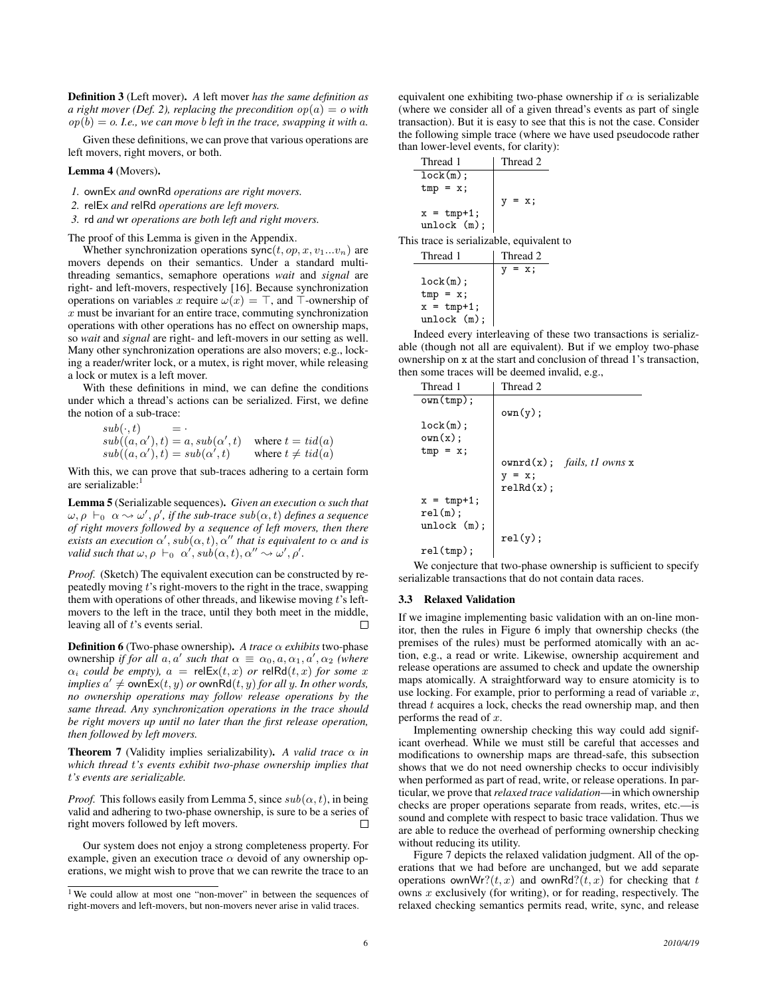Definition 3 (Left mover). *A* left mover *has the same definition as a right mover (Def. 2), replacing the precondition*  $op(a) = o$  *with*  $op(b) = o$ . *I.e., we can move b left in the trace, swapping it with a.* 

Given these definitions, we can prove that various operations are left movers, right movers, or both.

#### Lemma 4 (Movers).

- *1.* ownEx *and* ownRd *operations are right movers.*
- *2.* relEx *and* relRd *operations are left movers.*
- *3.* rd *and* wr *operations are both left and right movers.*

The proof of this Lemma is given in the Appendix.

Whether synchronization operations  $\mathsf{sync}(t, op, x, v_1...v_n)$  are movers depends on their semantics. Under a standard multithreading semantics, semaphore operations *wait* and *signal* are right- and left-movers, respectively [16]. Because synchronization operations on variables x require  $\omega(x) = \top$ , and  $\top$ -ownership of  $x$  must be invariant for an entire trace, commuting synchronization operations with other operations has no effect on ownership maps, so *wait* and *signal* are right- and left-movers in our setting as well. Many other synchronization operations are also movers; e.g., locking a reader/writer lock, or a mutex, is right mover, while releasing a lock or mutex is a left mover.

With these definitions in mind, we can define the conditions under which a thread's actions can be serialized. First, we define the notion of a sub-trace:

$$
sub(\cdot, t) = \cdot sub((a, \alpha'), t) = a, sub(\alpha', t) \text{ where } t = tid(a) sub((a, \alpha'), t) = sub(\alpha', t) \text{ where } t \neq tid(a)
$$

With this, we can prove that sub-traces adhering to a certain form are serializable: $<sup>1</sup>$ </sup>

Lemma 5 (Serializable sequences). *Given an execution* α *such that*  $\omega, \rho \ \vdash_{0} \ \alpha \leadsto \omega', \rho',$  if the sub-trace  $sub(\alpha, t)$  defines a sequence *of right movers followed by a sequence of left movers, then there*  $\alpha'$  *exists an execution*  $\alpha'$ ,  $sub(\alpha, t)$ ,  $\alpha''$  *that is equivalent to*  $\alpha$  *and is valid such that*  $\omega, \rho \vdash_0 \alpha', sub(\alpha, t), \alpha'' \leadsto \omega', \rho'.$ 

*Proof.* (Sketch) The equivalent execution can be constructed by repeatedly moving  $t$ 's right-movers to the right in the trace, swapping them with operations of other threads, and likewise moving  $t$ 's leftmovers to the left in the trace, until they both meet in the middle, leaving all of t's events serial.

**Definition 6** (Two-phase ownership). *A trace*  $\alpha$  *exhibits* two-phase ownership *if for all*  $a, a'$  such that  $\alpha \equiv \alpha_0, a, \alpha_1, a', \alpha_2$  (where  $\alpha_i$  *could be empty),*  $\alpha$  = relEx(t, x) *or* relRd(t, x) *for some* x  $implies a' \neq \text{ownEx}(t, y)$  or  $\text{ownRd}(t, y)$  *for all* y. In other words, *no ownership operations may follow release operations by the same thread. Any synchronization operations in the trace should be right movers up until no later than the first release operation, then followed by left movers.*

**Theorem 7** (Validity implies serializability). *A valid trace*  $\alpha$  *in which thread* t*'s events exhibit two-phase ownership implies that* t*'s events are serializable.*

*Proof.* This follows easily from Lemma 5, since  $sub(\alpha, t)$ , in being valid and adhering to two-phase ownership, is sure to be a series of right movers followed by left movers.  $\Box$ 

Our system does not enjoy a strong completeness property. For example, given an execution trace  $\alpha$  devoid of any ownership operations, we might wish to prove that we can rewrite the trace to an equivalent one exhibiting two-phase ownership if  $\alpha$  is serializable (where we consider all of a given thread's events as part of single transaction). But it is easy to see that this is not the case. Consider the following simple trace (where we have used pseudocode rather than lower-level events, for clarity):

| Thread 1            | Thread 2 |
|---------------------|----------|
| $lock(m)$ :         |          |
| $tmp = x;$          |          |
|                     | $V = X$  |
| $x = \text{tmp+1};$ |          |
| unlock(m);          |          |
|                     |          |

This trace is serializable, equivalent to

| Thread 1            | Thread 2 |
|---------------------|----------|
|                     | = x;     |
| $lock(m)$ :         |          |
| $tmp = x;$          |          |
| $x = \text{tmp+1};$ |          |
| unlock(m);          |          |
|                     |          |

Indeed every interleaving of these two transactions is serializable (though not all are equivalent). But if we employ two-phase ownership on x at the start and conclusion of thread 1's transaction, then some traces will be deemed invalid, e.g.,

| Thread 1            | Thread 2                                      |
|---------------------|-----------------------------------------------|
| own(tmp);           |                                               |
|                     | $own(y)$ ;                                    |
| $lock(m)$ ;         |                                               |
| $own(x)$ :          |                                               |
| $tmp = x;$          |                                               |
|                     | ownrd $(x)$ ; <i>fails</i> , <i>tl owns</i> x |
|                     | $y = x;$                                      |
|                     | $relRd(x)$ ;                                  |
| $x = \text{tmp+1};$ |                                               |
| $rel(m)$ ;          |                                               |
| $unlock(m)$ :       |                                               |
|                     | $rel(y)$ ;                                    |
| rel(tmp);           |                                               |

We conjecture that two-phase ownership is sufficient to specify serializable transactions that do not contain data races.

#### 3.3 Relaxed Validation

If we imagine implementing basic validation with an on-line monitor, then the rules in Figure 6 imply that ownership checks (the premises of the rules) must be performed atomically with an action, e.g., a read or write. Likewise, ownership acquirement and release operations are assumed to check and update the ownership maps atomically. A straightforward way to ensure atomicity is to use locking. For example, prior to performing a read of variable  $x$ , thread  $t$  acquires a lock, checks the read ownership map, and then performs the read of  $x$ .

Implementing ownership checking this way could add significant overhead. While we must still be careful that accesses and modifications to ownership maps are thread-safe, this subsection shows that we do not need ownership checks to occur indivisibly when performed as part of read, write, or release operations. In particular, we prove that *relaxed trace validation*—in which ownership checks are proper operations separate from reads, writes, etc.—is sound and complete with respect to basic trace validation. Thus we are able to reduce the overhead of performing ownership checking without reducing its utility.

Figure 7 depicts the relaxed validation judgment. All of the operations that we had before are unchanged, but we add separate operations ownWr? $(t, x)$  and ownRd? $(t, x)$  for checking that t owns  $x$  exclusively (for writing), or for reading, respectively. The relaxed checking semantics permits read, write, sync, and release

<sup>&</sup>lt;sup>1</sup>We could allow at most one "non-mover" in between the sequences of right-movers and left-movers, but non-movers never arise in valid traces.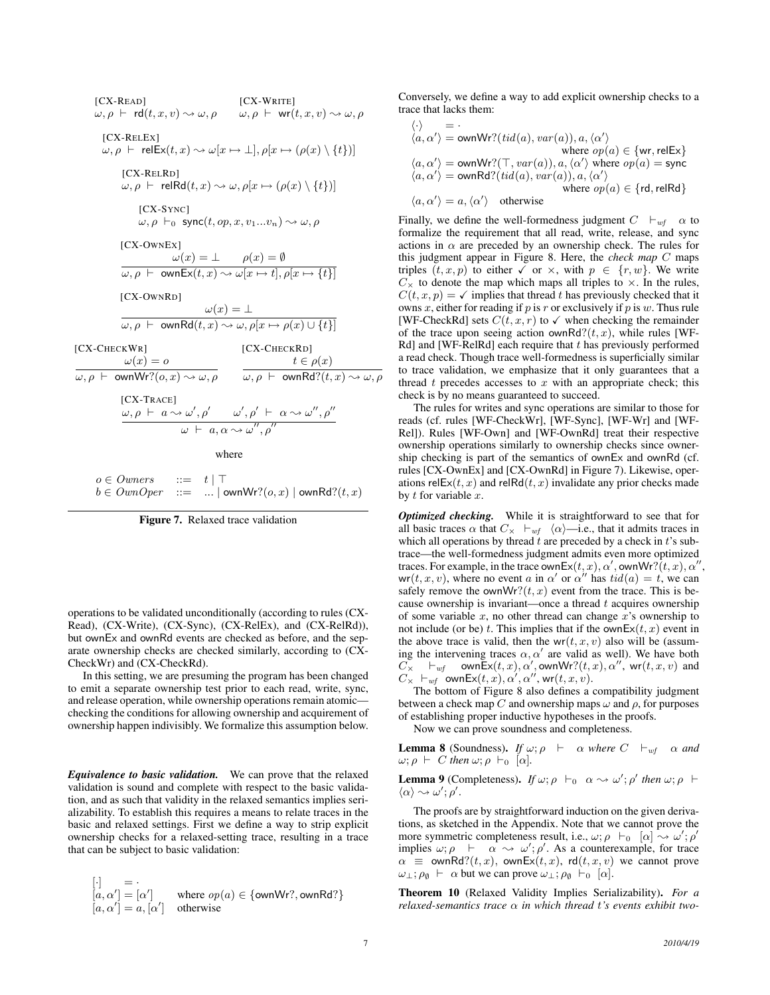[CX-READ]  
\n
$$
\omega, \rho \vdash \text{rd}(t, x, v) \rightsquigarrow \omega, \rho \qquad \omega, \rho \vdash \text{wr}(t, x, v) \rightsquigarrow \omega, \rho
$$
\n[CX-RELEX]  
\n[CX-RELEN]  
\n
$$
\omega, \rho \vdash \text{relEx}(t, x) \rightsquigarrow \omega[x \mapsto \bot], \rho[x \mapsto (\rho(x) \setminus \{t\})]
$$
\n[CX-RELRD]  
\n
$$
\omega, \rho \vdash \text{relRd}(t, x) \rightsquigarrow \omega, \rho[x \mapsto (\rho(x) \setminus \{t\})]
$$
\n[CX-SYNC]  
\n
$$
\omega, \rho \vdash_0 \text{sync}(t, op, x, v_1...v_n) \rightsquigarrow \omega, \rho
$$
\n[CX-OWNEx]  
\n
$$
\omega(x) = \bot \qquad \rho(x) = \emptyset
$$
\n
$$
\overline{\omega, \rho \vdash \text{ownEx}(t, x) \rightsquigarrow \omega[x \mapsto t], \rho[x \mapsto \{t\}]}
$$
\n[CX-OWNRD]  
\n
$$
\omega(x) = \bot
$$
\n[CX-CHECKNR]  
\n[CX-CHECKNR]  
\n
$$
\omega(x) = \omega \qquad t \in \rho(x)
$$
\n[CX-CHECKND]  
\n
$$
\omega(x) = o \qquad t \in \rho(x)
$$
\n[CX-CHECKRD]  
\n
$$
\omega, \rho \vdash \text{ownWr?}(o, x) \rightsquigarrow \omega, \rho \qquad \overline{\omega, \rho \vdash \text{ownRd?}(t, x) \rightsquigarrow \omega, \rho}
$$
\n[CX-TRACE]  
\n
$$
\omega, \rho \vdash a \rightsquigarrow \omega', \rho' \qquad \omega', \rho' \vdash \alpha \rightsquigarrow \omega'', \rho''
$$
\n
$$
\omega \vdash a, \alpha \rightsquigarrow \omega'', \rho''
$$

where

 $o \in \textit{Ouners}$  ::=  $t | \top$  $b \in OwnOper$  ::= ... | ownWr? $(o, x)$  | ownRd? $(t, x)$ 



operations to be validated unconditionally (according to rules (CX-Read), (CX-Write), (CX-Sync), (CX-RelEx), and (CX-RelRd)), but ownEx and ownRd events are checked as before, and the separate ownership checks are checked similarly, according to (CX-CheckWr) and (CX-CheckRd).

In this setting, we are presuming the program has been changed to emit a separate ownership test prior to each read, write, sync, and release operation, while ownership operations remain atomic checking the conditions for allowing ownership and acquirement of ownership happen indivisibly. We formalize this assumption below.

*Equivalence to basic validation.* We can prove that the relaxed validation is sound and complete with respect to the basic validation, and as such that validity in the relaxed semantics implies serializability. To establish this requires a means to relate traces in the basic and relaxed settings. First we define a way to strip explicit ownership checks for a relaxed-setting trace, resulting in a trace that can be subject to basic validation:

$$
\begin{array}{ll}\n[ \cdot] & = \cdot \\
[a, \alpha'] & = [\alpha'] & \text{where } op(a) \in \{\text{ownWr?, \text{ownRd?}}\} \\
[a, \alpha'] & = a, [\alpha'] & \text{otherwise}\n\end{array}
$$

Conversely, we define a way to add explicit ownership checks to a trace that lacks them:

$$
\begin{array}{ll} \langle \cdot \rangle &=\cdot \\ \langle a,\alpha' \rangle = \textsf{ownWr?}(tid(a), var(a)), a, \langle \alpha' \rangle \\ & \text{where } op(a) \in \{ \textsf{wr}, \textsf{relEx} \} \\ \langle a,\alpha' \rangle = \textsf{ownWr?}(\top, var(a)), a, \langle \alpha' \rangle \text{ where } op(a) = \textsf{sync} \\ \langle a,\alpha' \rangle = \textsf{ownRd?}(tid(a), var(a)), a, \langle \alpha' \rangle \\ & \text{where } op(a) \in \{ \textsf{rd}, \textsf{relRd} \} \\ \langle a,\alpha' \rangle = a, \langle \alpha' \rangle \quad \text{otherwise} \end{array}
$$

Finally, we define the well-formedness judgment  $C \vdash_{\mathit{wf}} \alpha$  to formalize the requirement that all read, write, release, and sync actions in  $\alpha$  are preceded by an ownership check. The rules for this judgment appear in Figure 8. Here, the *check map* C maps triples  $(t, x, p)$  to either  $\checkmark$  or  $\times$ , with  $p \in \{r, w\}$ . We write  $C_{\times}$  to denote the map which maps all triples to  $\times$ . In the rules,  $C(t, x, p) = \sqrt{\frac{p}{n}}$  implies that thread t has previously checked that it owns x, either for reading if p is r or exclusively if p is w. Thus rule [WF-CheckRd] sets  $C(t, x, r)$  to  $\checkmark$  when checking the remainder of the trace upon seeing action ownRd? $(t, x)$ , while rules [WF-Rd] and [WF-RelRd] each require that  $t$  has previously performed a read check. Though trace well-formedness is superficially similar to trace validation, we emphasize that it only guarantees that a thread  $t$  precedes accesses to  $x$  with an appropriate check; this check is by no means guaranteed to succeed.

The rules for writes and sync operations are similar to those for reads (cf. rules [WF-CheckWr], [WF-Sync], [WF-Wr] and [WF-Rel]). Rules [WF-Own] and [WF-OwnRd] treat their respective ownership operations similarly to ownership checks since ownership checking is part of the semantics of ownEx and ownRd (cf. rules [CX-OwnEx] and [CX-OwnRd] in Figure 7). Likewise, operations relEx(t, x) and relRd(t, x) invalidate any prior checks made by  $t$  for variable  $x$ .

*Optimized checking.* While it is straightforward to see that for all basic traces  $\alpha$  that  $C_{\times} \vdash_{wf} \langle \alpha \rangle$ —i.e., that it admits traces in which all operations by thread  $\dot{t}$  are preceded by a check in  $t$ 's subtrace—the well-formedness judgment admits even more optimized traces. For example, in the trace own  $\mathsf{Ex}(t,x), \alpha', \mathsf{ownWr}?\tilde(t,x), \alpha'',$  $wr(t, x, v)$ , where no event a in  $\alpha'$  or  $\alpha''$  has  $tid(a) = t$ , we can safely remove the own Wr? $(t, x)$  event from the trace. This is because ownership is invariant—once a thread  $t$  acquires ownership of some variable  $x$ , no other thread can change  $x$ 's ownership to not include (or be) t. This implies that if the own $\mathsf{Ex}(t, x)$  event in the above trace is valid, then the wr $(t, x, v)$  also will be (assuming the intervening traces  $\alpha, \alpha'$  are valid as well). We have both  $\overline{C_{\times}}$   $\vdash_{wf}$  own $\overline{Ex}(t, x), \alpha',$  ownWr? $(t, x), \alpha'',$  wr $(t, x, v)$  and  $C_{\times}$   $\vdash_{wf}$  ownEx $(t, x), \alpha', \alpha'',$  wr $(t, x, v)$ .

The bottom of Figure 8 also defines a compatibility judgment between a check map C and ownership maps  $\omega$  and  $\rho$ , for purposes of establishing proper inductive hypotheses in the proofs.

Now we can prove soundness and completeness.

**Lemma 8** (Soundness). *If*  $\omega$ ;  $\rho$   $\vdash \alpha$  *where*  $C$   $\vdash_{wf} \alpha$  *and*  $\omega; \rho \vdash C$  *then*  $\omega; \rho \vdash_0 [\alpha]$ .

**Lemma 9** (Completeness). *If*  $\omega$ ;  $\rho \vdash_0 \alpha \leadsto \omega'$ ;  $\rho'$  then  $\omega$ ;  $\rho \vdash$  $\langle \alpha \rangle \rightsquigarrow \omega'; \rho'.$ 

The proofs are by straightforward induction on the given derivations, as sketched in the Appendix. Note that we cannot prove the more symmetric completeness result, i.e.,  $\omega$ ;  $\rho \vdash_0 [\alpha] \sim \omega'$ ;  $\rho'$ implies  $\omega$ ;  $\rho$   $\vdash$   $\alpha \rightarrow \omega'$ ;  $\rho'$ . As a counterexample, for trace  $\alpha \equiv$  ownRd? $(t, x)$ , ownEx $(t, x)$ , rd $(t, x, v)$  we cannot prove  $\omega_{\perp}$ ;  $\rho_{\emptyset}$   $\vdash \alpha$  but we can prove  $\omega_{\perp}$ ;  $\rho_{\emptyset}$   $\vdash_0 [\alpha]$ .

Theorem 10 (Relaxed Validity Implies Serializability). *For a relaxed-semantics trace* α *in which thread* t*'s events exhibit two-*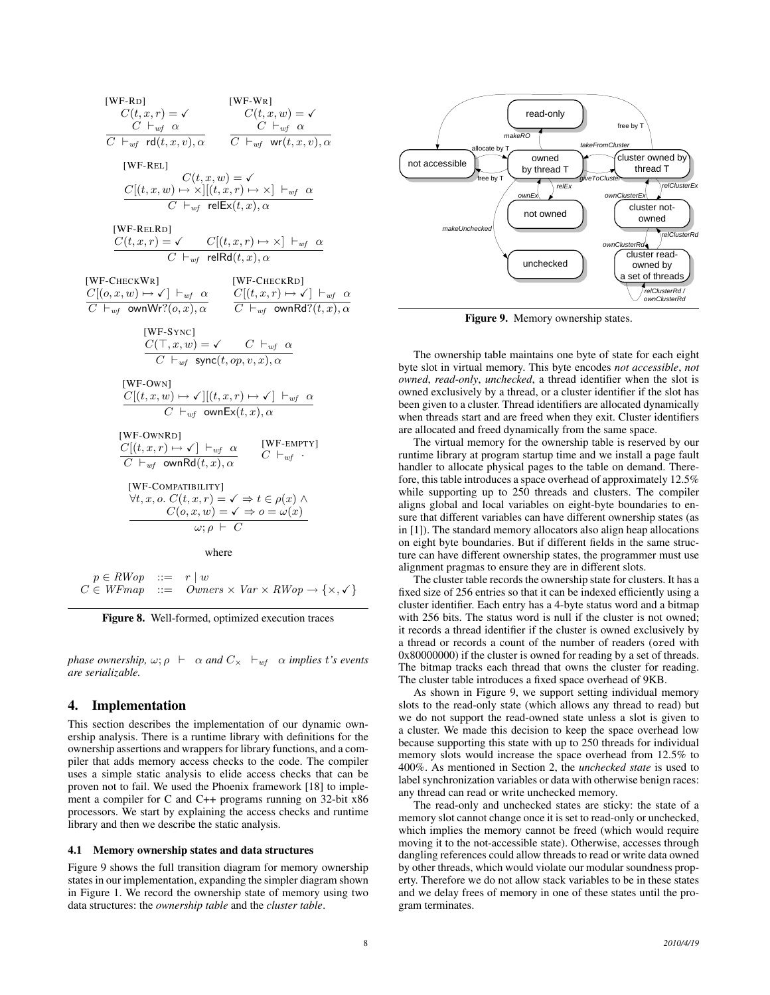[WF-RD] [WF-WR]  
\n
$$
C(t, x, r) = \checkmark
$$
\n
$$
C + w_f \alpha
$$
\n
$$
C + w_f \alpha
$$
\n
$$
C + w_f \alpha
$$
\n
$$
C + w_f \alpha
$$
\n
$$
C + w_f \alpha
$$
\n
$$
C + w_f \alpha
$$
\n
$$
C + w_f \alpha
$$
\n
$$
C + w_f \alpha
$$
\n
$$
C + w_f \alpha
$$
\n
$$
C + w_f \alpha
$$
\n
$$
C + w_f \alpha
$$
\n
$$
C + w_f \alpha
$$
\n
$$
C + w_f \alpha
$$
\n
$$
C + w_f \alpha
$$
\n
$$
C + w_f \alpha
$$
\n
$$
C + w_f \alpha
$$
\n
$$
C + w_f \alpha
$$
\n
$$
C + w_f \alpha
$$
\n
$$
C + w_f \alpha
$$
\n
$$
C + w_f \alpha
$$
\n
$$
C + w_f \alpha
$$
\n
$$
C + w_f \alpha
$$
\n
$$
C + w_f \alpha
$$
\n
$$
C + w_f \alpha
$$
\n
$$
C + w_f \alpha
$$
\n
$$
C + w_f \alpha
$$
\n
$$
C + w_f \alpha
$$
\n
$$
C + w_f \alpha
$$
\n
$$
C + w_f \alpha
$$
\n
$$
C + w_f \alpha
$$
\n
$$
C + w_f \alpha
$$
\n
$$
C + w_f \alpha
$$
\n
$$
C + w_f \alpha
$$
\n
$$
C + w_f \alpha
$$
\n
$$
C + w_f \alpha
$$
\n
$$
C + w_f \alpha
$$
\n
$$
C + w_f \alpha
$$
\n
$$
C + w_f \alpha
$$
\n
$$
C + w_f \alpha
$$
\n
$$
C + w_f \alpha
$$
\n
$$
C + w_f \alpha
$$
\n
$$
C + w_f \alpha
$$
\n
$$
C + w_f \alpha
$$
\n
$$
C + w_f \alpha
$$
\n
$$
C + w_f \alpha
$$
\n
$$
C + w_f \
$$

 $p \in RWop \quad ::= \quad r \mid w$  $C \in WFmap$  ::=  $\text{Owners} \times \text{Var} \times \text{RWop} \rightarrow \{ \times, \sqrt{\}$ 

Figure 8. Well-formed, optimized execution traces

*phase ownership,*  $\omega$ ;  $\rho \vdash \alpha$  *and*  $C_{\times} \vdash_{wf} \alpha$  *implies t*'s events *are serializable.*

# 4. Implementation

This section describes the implementation of our dynamic ownership analysis. There is a runtime library with definitions for the ownership assertions and wrappers for library functions, and a compiler that adds memory access checks to the code. The compiler uses a simple static analysis to elide access checks that can be proven not to fail. We used the Phoenix framework [18] to implement a compiler for C and C++ programs running on 32-bit x86 processors. We start by explaining the access checks and runtime library and then we describe the static analysis.

#### 4.1 Memory ownership states and data structures

Figure 9 shows the full transition diagram for memory ownership states in our implementation, expanding the simpler diagram shown in Figure 1. We record the ownership state of memory using two data structures: the *ownership table* and the *cluster table*.



Figure 9. Memory ownership states.

The ownership table maintains one byte of state for each eight byte slot in virtual memory. This byte encodes *not accessible*, *not owned, read-only, unchecked, a thread identifier when the slot is* owned exclusively by a thread, or a cluster identifier if the slot has been given to a cluster. Thread identifiers are allocated dynamically when threads start and are freed when they exit. Cluster identifiers are allocated and freed dynamically from the same space.

are anocated and freed dynamically from the same space.<br>The virtual memory for the ownership table is reserved by our lower-left corner and we install a page fault runtime library at program startup time and we install a page fault handler to allocate physical pages to the table on demand. Therefore, this table introduces a space overhead of approximately 12.5% while supporting up to 250 threads and clusters. The compiler aligns global and local variables on eight-byte boundaries to ensure that different variables can have different ownership states (as in [1]). The standard memory allocators also align heap allocations on eight byte boundaries. But if different fields in the same structure can have different ownership states, the programmer must use alignment pragmas to ensure they are in different slots.

The cluster table records the ownership state for clusters. It has a fixed size of 256 entries so that it can be indexed efficiently using a cluster identifier. Each entry has a 4-byte status word and a bitmap with 256 bits. The status word is null if the cluster is not owned; it records a thread identifier if the cluster is owned exclusively by a thread or records a count of the number of readers (ored with 0x80000000) if the cluster is owned for reading by a set of threads. The bitmap tracks each thread that owns the cluster for reading. The cluster table introduces a fixed space overhead of 9KB.

As shown in Figure 9, we support setting individual memory slots to the read-only state (which allows any thread to read) but we do not support the read-owned state unless a slot is given to a cluster. We made this decision to keep the space overhead low because supporting this state with up to 250 threads for individual memory slots would increase the space overhead from 12.5% to 400%. As mentioned in Section 2, the *unchecked state* is used to label synchronization variables or data with otherwise benign races: any thread can read or write unchecked memory.

The read-only and unchecked states are sticky: the state of a memory slot cannot change once it is set to read-only or unchecked, which implies the memory cannot be freed (which would require moving it to the not-accessible state). Otherwise, accesses through dangling references could allow threads to read or write data owned by other threads, which would violate our modular soundness property. Therefore we do not allow stack variables to be in these states and we delay frees of memory in one of these states until the program terminates.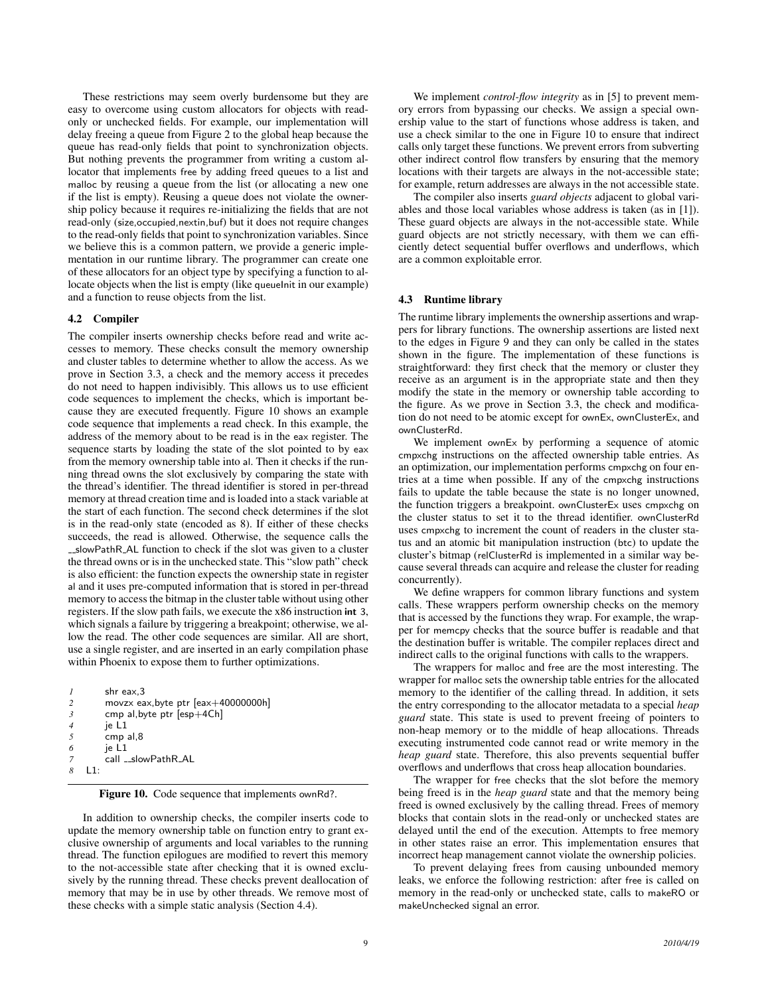These restrictions may seem overly burdensome but they are easy to overcome using custom allocators for objects with readonly or unchecked fields. For example, our implementation will delay freeing a queue from Figure 2 to the global heap because the queue has read-only fields that point to synchronization objects. But nothing prevents the programmer from writing a custom allocator that implements free by adding freed queues to a list and malloc by reusing a queue from the list (or allocating a new one if the list is empty). Reusing a queue does not violate the ownership policy because it requires re-initializing the fields that are not read-only (size,occupied,nextin,buf) but it does not require changes to the read-only fields that point to synchronization variables. Since we believe this is a common pattern, we provide a generic implementation in our runtime library. The programmer can create one of these allocators for an object type by specifying a function to allocate objects when the list is empty (like queuelnit in our example) and a function to reuse objects from the list.

#### 4.2 Compiler

The compiler inserts ownership checks before read and write accesses to memory. These checks consult the memory ownership and cluster tables to determine whether to allow the access. As we prove in Section 3.3, a check and the memory access it precedes do not need to happen indivisibly. This allows us to use efficient code sequences to implement the checks, which is important because they are executed frequently. Figure 10 shows an example code sequence that implements a read check. In this example, the address of the memory about to be read is in the eax register. The sequence starts by loading the state of the slot pointed to by eax from the memory ownership table into al. Then it checks if the running thread owns the slot exclusively by comparing the state with the thread's identifier. The thread identifier is stored in per-thread memory at thread creation time and is loaded into a stack variable at the start of each function. The second check determines if the slot is in the read-only state (encoded as 8). If either of these checks succeeds, the read is allowed. Otherwise, the sequence calls the slowPathR AL function to check if the slot was given to a cluster the thread owns or is in the unchecked state. This "slow path" check is also efficient: the function expects the ownership state in register al and it uses pre-computed information that is stored in per-thread memory to access the bitmap in the cluster table without using other registers. If the slow path fails, we execute the x86 instruction int 3, which signals a failure by triggering a breakpoint; otherwise, we allow the read. The other code sequences are similar. All are short, use a single register, and are inserted in an early compilation phase within Phoenix to expose them to further optimizations.

```
1 shr eax,3
2 movzx eax,byte ptr [eax+40000000h]
3 cmp al,byte ptr [esp+4Ch]
4 je L1
5 cmp al,8
6 je L1
7 call __slowPathR_AL
8 L1:
```
## Figure 10. Code sequence that implements ownRd?.

In addition to ownership checks, the compiler inserts code to update the memory ownership table on function entry to grant exclusive ownership of arguments and local variables to the running thread. The function epilogues are modified to revert this memory to the not-accessible state after checking that it is owned exclusively by the running thread. These checks prevent deallocation of memory that may be in use by other threads. We remove most of these checks with a simple static analysis (Section 4.4).

We implement *control-flow integrity* as in [5] to prevent memory errors from bypassing our checks. We assign a special ownership value to the start of functions whose address is taken, and use a check similar to the one in Figure 10 to ensure that indirect calls only target these functions. We prevent errors from subverting other indirect control flow transfers by ensuring that the memory locations with their targets are always in the not-accessible state; for example, return addresses are always in the not accessible state.

The compiler also inserts *guard objects* adjacent to global variables and those local variables whose address is taken (as in [1]). These guard objects are always in the not-accessible state. While guard objects are not strictly necessary, with them we can efficiently detect sequential buffer overflows and underflows, which are a common exploitable error.

#### 4.3 Runtime library

The runtime library implements the ownership assertions and wrappers for library functions. The ownership assertions are listed next to the edges in Figure 9 and they can only be called in the states shown in the figure. The implementation of these functions is straightforward: they first check that the memory or cluster they receive as an argument is in the appropriate state and then they modify the state in the memory or ownership table according to the figure. As we prove in Section 3.3, the check and modification do not need to be atomic except for ownEx, ownClusterEx, and ownClusterRd.

We implement ownEx by performing a sequence of atomic cmpxchg instructions on the affected ownership table entries. As an optimization, our implementation performs cmpxchg on four entries at a time when possible. If any of the cmpxchg instructions fails to update the table because the state is no longer unowned, the function triggers a breakpoint. ownClusterEx uses cmpxchg on the cluster status to set it to the thread identifier. ownClusterRd uses cmpxchg to increment the count of readers in the cluster status and an atomic bit manipulation instruction (btc) to update the cluster's bitmap (relClusterRd is implemented in a similar way because several threads can acquire and release the cluster for reading concurrently).

We define wrappers for common library functions and system calls. These wrappers perform ownership checks on the memory that is accessed by the functions they wrap. For example, the wrapper for memcpy checks that the source buffer is readable and that the destination buffer is writable. The compiler replaces direct and indirect calls to the original functions with calls to the wrappers.

The wrappers for malloc and free are the most interesting. The wrapper for malloc sets the ownership table entries for the allocated memory to the identifier of the calling thread. In addition, it sets the entry corresponding to the allocator metadata to a special *heap guard* state. This state is used to prevent freeing of pointers to non-heap memory or to the middle of heap allocations. Threads executing instrumented code cannot read or write memory in the *heap guard* state. Therefore, this also prevents sequential buffer overflows and underflows that cross heap allocation boundaries.

The wrapper for free checks that the slot before the memory being freed is in the *heap guard* state and that the memory being freed is owned exclusively by the calling thread. Frees of memory blocks that contain slots in the read-only or unchecked states are delayed until the end of the execution. Attempts to free memory in other states raise an error. This implementation ensures that incorrect heap management cannot violate the ownership policies.

To prevent delaying frees from causing unbounded memory leaks, we enforce the following restriction: after free is called on memory in the read-only or unchecked state, calls to makeRO or makeUnchecked signal an error.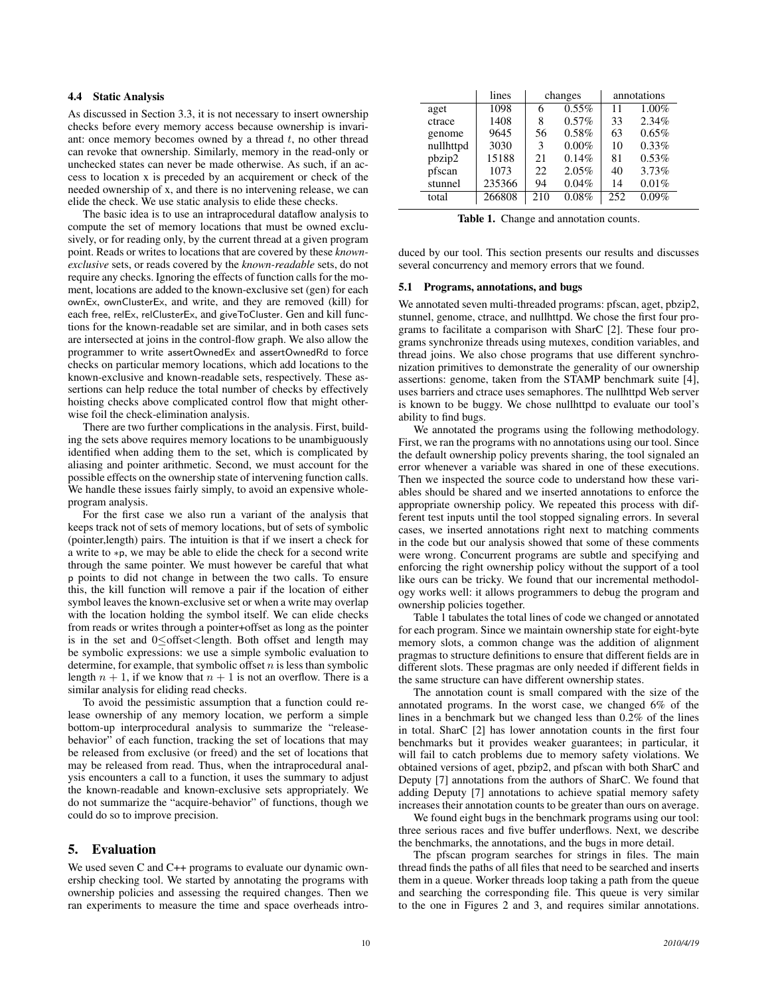# 4.4 Static Analysis

As discussed in Section 3.3, it is not necessary to insert ownership checks before every memory access because ownership is invariant: once memory becomes owned by a thread  $t$ , no other thread can revoke that ownership. Similarly, memory in the read-only or unchecked states can never be made otherwise. As such, if an access to location x is preceded by an acquirement or check of the needed ownership of x, and there is no intervening release, we can elide the check. We use static analysis to elide these checks.

The basic idea is to use an intraprocedural dataflow analysis to compute the set of memory locations that must be owned exclusively, or for reading only, by the current thread at a given program point. Reads or writes to locations that are covered by these *knownexclusive* sets, or reads covered by the *known-readable* sets, do not require any checks. Ignoring the effects of function calls for the moment, locations are added to the known-exclusive set (gen) for each ownEx, ownClusterEx, and write, and they are removed (kill) for each free, relEx, relClusterEx, and giveToCluster. Gen and kill functions for the known-readable set are similar, and in both cases sets are intersected at joins in the control-flow graph. We also allow the programmer to write assertOwnedEx and assertOwnedRd to force checks on particular memory locations, which add locations to the known-exclusive and known-readable sets, respectively. These assertions can help reduce the total number of checks by effectively hoisting checks above complicated control flow that might otherwise foil the check-elimination analysis.

There are two further complications in the analysis. First, building the sets above requires memory locations to be unambiguously identified when adding them to the set, which is complicated by aliasing and pointer arithmetic. Second, we must account for the possible effects on the ownership state of intervening function calls. We handle these issues fairly simply, to avoid an expensive wholeprogram analysis.

For the first case we also run a variant of the analysis that keeps track not of sets of memory locations, but of sets of symbolic (pointer,length) pairs. The intuition is that if we insert a check for a write to ∗p, we may be able to elide the check for a second write through the same pointer. We must however be careful that what p points to did not change in between the two calls. To ensure this, the kill function will remove a pair if the location of either symbol leaves the known-exclusive set or when a write may overlap with the location holding the symbol itself. We can elide checks from reads or writes through a pointer+offset as long as the pointer is in the set and 0≤offset<length. Both offset and length may be symbolic expressions: we use a simple symbolic evaluation to determine, for example, that symbolic offset  $n$  is less than symbolic length  $n + 1$ , if we know that  $n + 1$  is not an overflow. There is a similar analysis for eliding read checks.

To avoid the pessimistic assumption that a function could release ownership of any memory location, we perform a simple bottom-up interprocedural analysis to summarize the "releasebehavior" of each function, tracking the set of locations that may be released from exclusive (or freed) and the set of locations that may be released from read. Thus, when the intraprocedural analysis encounters a call to a function, it uses the summary to adjust the known-readable and known-exclusive sets appropriately. We do not summarize the "acquire-behavior" of functions, though we could do so to improve precision.

# 5. Evaluation

We used seven C and C++ programs to evaluate our dynamic ownership checking tool. We started by annotating the programs with ownership policies and assessing the required changes. Then we ran experiments to measure the time and space overheads intro-

|           | lines  | changes |          | annotations |          |
|-----------|--------|---------|----------|-------------|----------|
| aget      | 1098   | 6       | $0.55\%$ | 11          | 1.00%    |
| ctrace    | 1408   | 8       | $0.57\%$ | 33          | 2.34%    |
| genome    | 9645   | 56      | 0.58%    | 63          | 0.65%    |
| nullhttpd | 3030   | 3       | $0.00\%$ | 10          | $0.33\%$ |
| pbzip2    | 15188  | 21      | 0.14%    | 81          | 0.53%    |
| pfscan    | 1073   | 22      | 2.05%    | 40          | 3.73%    |
| stunnel   | 235366 | 94      | 0.04%    | 14          | 0.01%    |
| total     | 266808 | 210     | 0.08%    | 252         | 0.09%    |

Table 1. Change and annotation counts.

duced by our tool. This section presents our results and discusses several concurrency and memory errors that we found.

# 5.1 Programs, annotations, and bugs

We annotated seven multi-threaded programs: pfscan, aget, pbzip2, stunnel, genome, ctrace, and nullhttpd. We chose the first four programs to facilitate a comparison with SharC [2]. These four programs synchronize threads using mutexes, condition variables, and thread joins. We also chose programs that use different synchronization primitives to demonstrate the generality of our ownership assertions: genome, taken from the STAMP benchmark suite [4], uses barriers and ctrace uses semaphores. The nullhttpd Web server is known to be buggy. We chose nullhttpd to evaluate our tool's ability to find bugs.

We annotated the programs using the following methodology. First, we ran the programs with no annotations using our tool. Since the default ownership policy prevents sharing, the tool signaled an error whenever a variable was shared in one of these executions. Then we inspected the source code to understand how these variables should be shared and we inserted annotations to enforce the appropriate ownership policy. We repeated this process with different test inputs until the tool stopped signaling errors. In several cases, we inserted annotations right next to matching comments in the code but our analysis showed that some of these comments were wrong. Concurrent programs are subtle and specifying and enforcing the right ownership policy without the support of a tool like ours can be tricky. We found that our incremental methodology works well: it allows programmers to debug the program and ownership policies together.

Table 1 tabulates the total lines of code we changed or annotated for each program. Since we maintain ownership state for eight-byte memory slots, a common change was the addition of alignment pragmas to structure definitions to ensure that different fields are in different slots. These pragmas are only needed if different fields in the same structure can have different ownership states.

The annotation count is small compared with the size of the annotated programs. In the worst case, we changed 6% of the lines in a benchmark but we changed less than 0.2% of the lines in total. SharC [2] has lower annotation counts in the first four benchmarks but it provides weaker guarantees; in particular, it will fail to catch problems due to memory safety violations. We obtained versions of aget, pbzip2, and pfscan with both SharC and Deputy [7] annotations from the authors of SharC. We found that adding Deputy [7] annotations to achieve spatial memory safety increases their annotation counts to be greater than ours on average.

We found eight bugs in the benchmark programs using our tool: three serious races and five buffer underflows. Next, we describe the benchmarks, the annotations, and the bugs in more detail.

The pfscan program searches for strings in files. The main thread finds the paths of all files that need to be searched and inserts them in a queue. Worker threads loop taking a path from the queue and searching the corresponding file. This queue is very similar to the one in Figures 2 and 3, and requires similar annotations.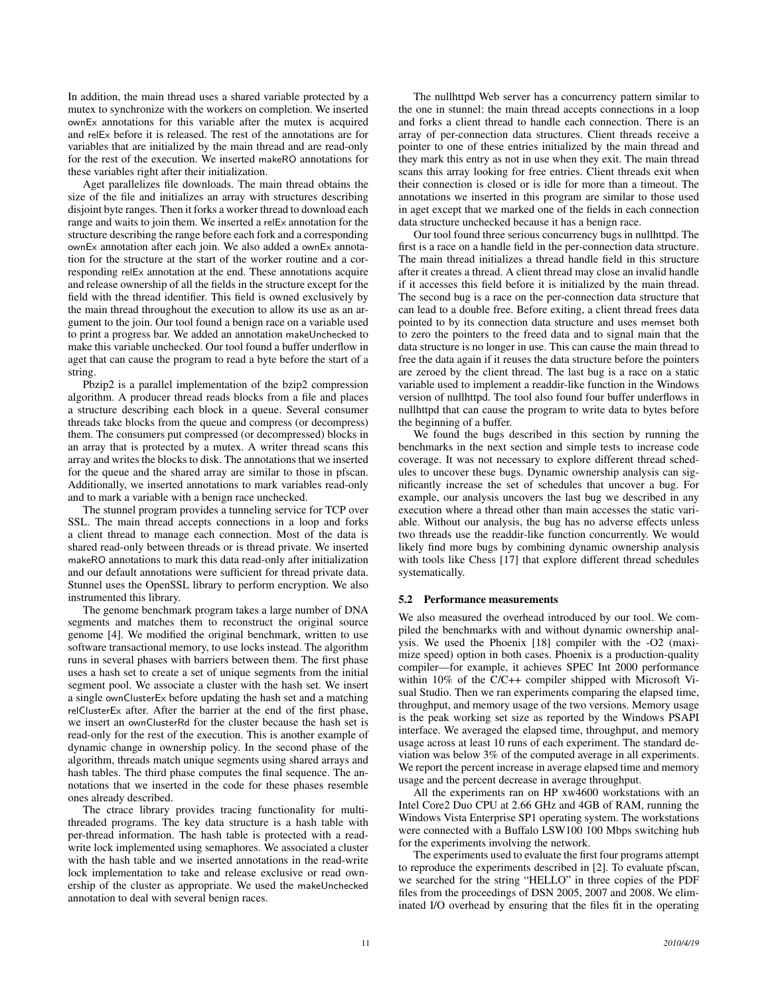In addition, the main thread uses a shared variable protected by a mutex to synchronize with the workers on completion. We inserted ownEx annotations for this variable after the mutex is acquired and relEx before it is released. The rest of the annotations are for variables that are initialized by the main thread and are read-only for the rest of the execution. We inserted makeRO annotations for these variables right after their initialization.

Aget parallelizes file downloads. The main thread obtains the size of the file and initializes an array with structures describing disjoint byte ranges. Then it forks a worker thread to download each range and waits to join them. We inserted a relEx annotation for the structure describing the range before each fork and a corresponding ownEx annotation after each join. We also added a ownEx annotation for the structure at the start of the worker routine and a corresponding relEx annotation at the end. These annotations acquire and release ownership of all the fields in the structure except for the field with the thread identifier. This field is owned exclusively by the main thread throughout the execution to allow its use as an argument to the join. Our tool found a benign race on a variable used to print a progress bar. We added an annotation makeUnchecked to make this variable unchecked. Our tool found a buffer underflow in aget that can cause the program to read a byte before the start of a string.

Pbzip2 is a parallel implementation of the bzip2 compression algorithm. A producer thread reads blocks from a file and places a structure describing each block in a queue. Several consumer threads take blocks from the queue and compress (or decompress) them. The consumers put compressed (or decompressed) blocks in an array that is protected by a mutex. A writer thread scans this array and writes the blocks to disk. The annotations that we inserted for the queue and the shared array are similar to those in pfscan. Additionally, we inserted annotations to mark variables read-only and to mark a variable with a benign race unchecked.

The stunnel program provides a tunneling service for TCP over SSL. The main thread accepts connections in a loop and forks a client thread to manage each connection. Most of the data is shared read-only between threads or is thread private. We inserted makeRO annotations to mark this data read-only after initialization and our default annotations were sufficient for thread private data. Stunnel uses the OpenSSL library to perform encryption. We also instrumented this library.

The genome benchmark program takes a large number of DNA segments and matches them to reconstruct the original source genome [4]. We modified the original benchmark, written to use software transactional memory, to use locks instead. The algorithm runs in several phases with barriers between them. The first phase uses a hash set to create a set of unique segments from the initial segment pool. We associate a cluster with the hash set. We insert a single ownClusterEx before updating the hash set and a matching relClusterEx after. After the barrier at the end of the first phase, we insert an ownClusterRd for the cluster because the hash set is read-only for the rest of the execution. This is another example of dynamic change in ownership policy. In the second phase of the algorithm, threads match unique segments using shared arrays and hash tables. The third phase computes the final sequence. The annotations that we inserted in the code for these phases resemble ones already described.

The ctrace library provides tracing functionality for multithreaded programs. The key data structure is a hash table with per-thread information. The hash table is protected with a readwrite lock implemented using semaphores. We associated a cluster with the hash table and we inserted annotations in the read-write lock implementation to take and release exclusive or read ownership of the cluster as appropriate. We used the makeUnchecked annotation to deal with several benign races.

The nullhttpd Web server has a concurrency pattern similar to the one in stunnel: the main thread accepts connections in a loop and forks a client thread to handle each connection. There is an array of per-connection data structures. Client threads receive a pointer to one of these entries initialized by the main thread and they mark this entry as not in use when they exit. The main thread scans this array looking for free entries. Client threads exit when their connection is closed or is idle for more than a timeout. The annotations we inserted in this program are similar to those used in aget except that we marked one of the fields in each connection data structure unchecked because it has a benign race.

Our tool found three serious concurrency bugs in nullhttpd. The first is a race on a handle field in the per-connection data structure. The main thread initializes a thread handle field in this structure after it creates a thread. A client thread may close an invalid handle if it accesses this field before it is initialized by the main thread. The second bug is a race on the per-connection data structure that can lead to a double free. Before exiting, a client thread frees data pointed to by its connection data structure and uses memset both to zero the pointers to the freed data and to signal main that the data structure is no longer in use. This can cause the main thread to free the data again if it reuses the data structure before the pointers are zeroed by the client thread. The last bug is a race on a static variable used to implement a readdir-like function in the Windows version of nullhttpd. The tool also found four buffer underflows in nullhttpd that can cause the program to write data to bytes before the beginning of a buffer.

We found the bugs described in this section by running the benchmarks in the next section and simple tests to increase code coverage. It was not necessary to explore different thread schedules to uncover these bugs. Dynamic ownership analysis can significantly increase the set of schedules that uncover a bug. For example, our analysis uncovers the last bug we described in any execution where a thread other than main accesses the static variable. Without our analysis, the bug has no adverse effects unless two threads use the readdir-like function concurrently. We would likely find more bugs by combining dynamic ownership analysis with tools like Chess [17] that explore different thread schedules systematically.

#### 5.2 Performance measurements

We also measured the overhead introduced by our tool. We compiled the benchmarks with and without dynamic ownership analysis. We used the Phoenix [18] compiler with the -O2 (maximize speed) option in both cases. Phoenix is a production-quality compiler—for example, it achieves SPEC Int 2000 performance within 10% of the C/C++ compiler shipped with Microsoft Visual Studio. Then we ran experiments comparing the elapsed time, throughput, and memory usage of the two versions. Memory usage is the peak working set size as reported by the Windows PSAPI interface. We averaged the elapsed time, throughput, and memory usage across at least 10 runs of each experiment. The standard deviation was below 3% of the computed average in all experiments. We report the percent increase in average elapsed time and memory usage and the percent decrease in average throughput.

All the experiments ran on HP xw4600 workstations with an Intel Core2 Duo CPU at 2.66 GHz and 4GB of RAM, running the Windows Vista Enterprise SP1 operating system. The workstations were connected with a Buffalo LSW100 100 Mbps switching hub for the experiments involving the network.

The experiments used to evaluate the first four programs attempt to reproduce the experiments described in [2]. To evaluate pfscan, we searched for the string "HELLO" in three copies of the PDF files from the proceedings of DSN 2005, 2007 and 2008. We eliminated I/O overhead by ensuring that the files fit in the operating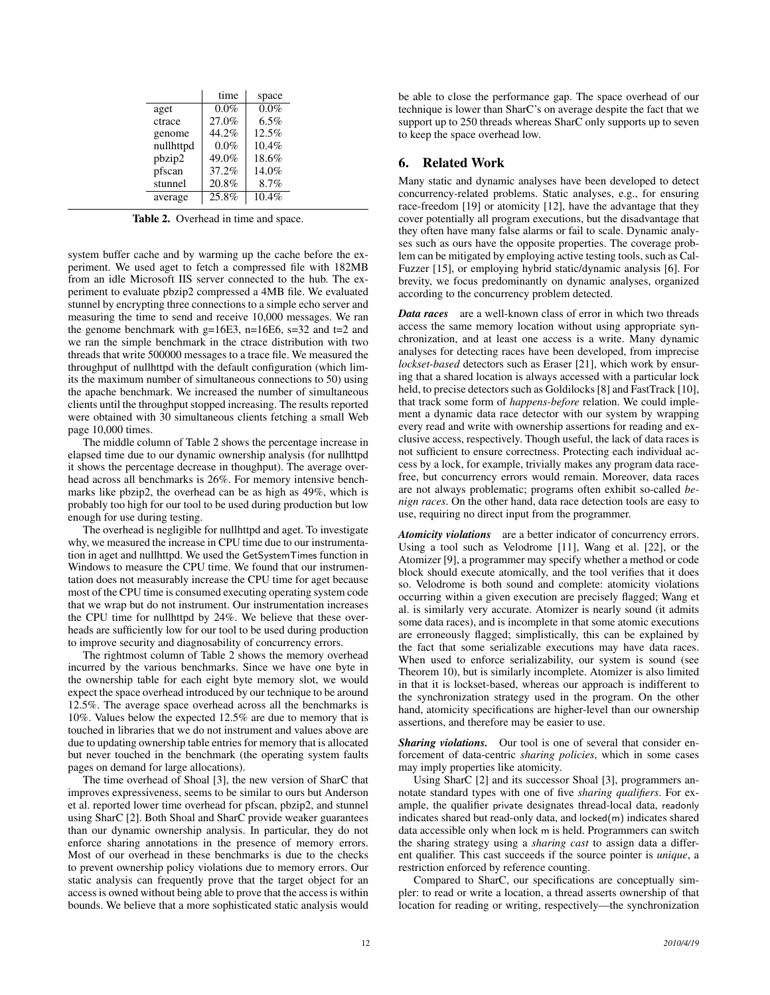|           | time                | space |
|-----------|---------------------|-------|
| aget      | $0.0\%$             | 0.0%  |
| ctrace    | 27.0%               | 6.5%  |
| genome    | 44.2%               | 12.5% |
| nullhttpd | $0.0\%$             | 10.4% |
| pbzip2    | 49.0%               | 18.6% |
| pfscan    | 37.2%               | 14.0% |
| stunnel   | 20.8%               | 8.7%  |
| average   | $25.\overline{8\%}$ | 10.4% |

Table 2. Overhead in time and space.

system buffer cache and by warming up the cache before the experiment. We used aget to fetch a compressed file with 182MB from an idle Microsoft IIS server connected to the hub. The experiment to evaluate pbzip2 compressed a 4MB file. We evaluated stunnel by encrypting three connections to a simple echo server and measuring the time to send and receive 10,000 messages. We ran the genome benchmark with g=16E3, n=16E6, s=32 and t=2 and we ran the simple benchmark in the ctrace distribution with two threads that write 500000 messages to a trace file. We measured the throughput of nullhttpd with the default configuration (which limits the maximum number of simultaneous connections to 50) using the apache benchmark. We increased the number of simultaneous clients until the throughput stopped increasing. The results reported were obtained with 30 simultaneous clients fetching a small Web page 10,000 times.

The middle column of Table 2 shows the percentage increase in elapsed time due to our dynamic ownership analysis (for nullhttpd it shows the percentage decrease in thoughput). The average overhead across all benchmarks is 26%. For memory intensive benchmarks like pbzip2, the overhead can be as high as 49%, which is probably too high for our tool to be used during production but low enough for use during testing.

The overhead is negligible for nullhttpd and aget. To investigate why, we measured the increase in CPU time due to our instrumentation in aget and nullhttpd. We used the GetSystemTimes function in Windows to measure the CPU time. We found that our instrumentation does not measurably increase the CPU time for aget because most of the CPU time is consumed executing operating system code that we wrap but do not instrument. Our instrumentation increases the CPU time for nullhttpd by 24%. We believe that these overheads are sufficiently low for our tool to be used during production to improve security and diagnosability of concurrency errors.

The rightmost column of Table 2 shows the memory overhead incurred by the various benchmarks. Since we have one byte in the ownership table for each eight byte memory slot, we would expect the space overhead introduced by our technique to be around 12.5%. The average space overhead across all the benchmarks is 10%. Values below the expected 12.5% are due to memory that is touched in libraries that we do not instrument and values above are due to updating ownership table entries for memory that is allocated but never touched in the benchmark (the operating system faults pages on demand for large allocations).

The time overhead of Shoal [3], the new version of SharC that improves expressiveness, seems to be similar to ours but Anderson et al. reported lower time overhead for pfscan, pbzip2, and stunnel using SharC [2]. Both Shoal and SharC provide weaker guarantees than our dynamic ownership analysis. In particular, they do not enforce sharing annotations in the presence of memory errors. Most of our overhead in these benchmarks is due to the checks to prevent ownership policy violations due to memory errors. Our static analysis can frequently prove that the target object for an access is owned without being able to prove that the access is within bounds. We believe that a more sophisticated static analysis would be able to close the performance gap. The space overhead of our technique is lower than SharC's on average despite the fact that we support up to 250 threads whereas SharC only supports up to seven to keep the space overhead low.

## 6. Related Work

Many static and dynamic analyses have been developed to detect concurrency-related problems. Static analyses, e.g., for ensuring race-freedom [19] or atomicity [12], have the advantage that they cover potentially all program executions, but the disadvantage that they often have many false alarms or fail to scale. Dynamic analyses such as ours have the opposite properties. The coverage problem can be mitigated by employing active testing tools, such as Cal-Fuzzer [15], or employing hybrid static/dynamic analysis [6]. For brevity, we focus predominantly on dynamic analyses, organized according to the concurrency problem detected.

*Data races* are a well-known class of error in which two threads access the same memory location without using appropriate synchronization, and at least one access is a write. Many dynamic analyses for detecting races have been developed, from imprecise *lockset-based* detectors such as Eraser [21], which work by ensuring that a shared location is always accessed with a particular lock held, to precise detectors such as Goldilocks [8] and FastTrack [10], that track some form of *happens-before* relation. We could implement a dynamic data race detector with our system by wrapping every read and write with ownership assertions for reading and exclusive access, respectively. Though useful, the lack of data races is not sufficient to ensure correctness. Protecting each individual access by a lock, for example, trivially makes any program data racefree, but concurrency errors would remain. Moreover, data races are not always problematic; programs often exhibit so-called *benign races*. On the other hand, data race detection tools are easy to use, requiring no direct input from the programmer.

*Atomicity violations* are a better indicator of concurrency errors. Using a tool such as Velodrome [11], Wang et al. [22], or the Atomizer [9], a programmer may specify whether a method or code block should execute atomically, and the tool verifies that it does so. Velodrome is both sound and complete: atomicity violations occurring within a given execution are precisely flagged; Wang et al. is similarly very accurate. Atomizer is nearly sound (it admits some data races), and is incomplete in that some atomic executions are erroneously flagged; simplistically, this can be explained by the fact that some serializable executions may have data races. When used to enforce serializability, our system is sound (see Theorem 10), but is similarly incomplete. Atomizer is also limited in that it is lockset-based, whereas our approach is indifferent to the synchronization strategy used in the program. On the other hand, atomicity specifications are higher-level than our ownership assertions, and therefore may be easier to use.

*Sharing violations.* Our tool is one of several that consider enforcement of data-centric *sharing policies*, which in some cases may imply properties like atomicity.

Using SharC [2] and its successor Shoal [3], programmers annotate standard types with one of five *sharing qualifiers*. For example, the qualifier private designates thread-local data, readonly indicates shared but read-only data, and locked(m) indicates shared data accessible only when lock m is held. Programmers can switch the sharing strategy using a *sharing cast* to assign data a different qualifier. This cast succeeds if the source pointer is *unique*, a restriction enforced by reference counting.

Compared to SharC, our specifications are conceptually simpler: to read or write a location, a thread asserts ownership of that location for reading or writing, respectively—the synchronization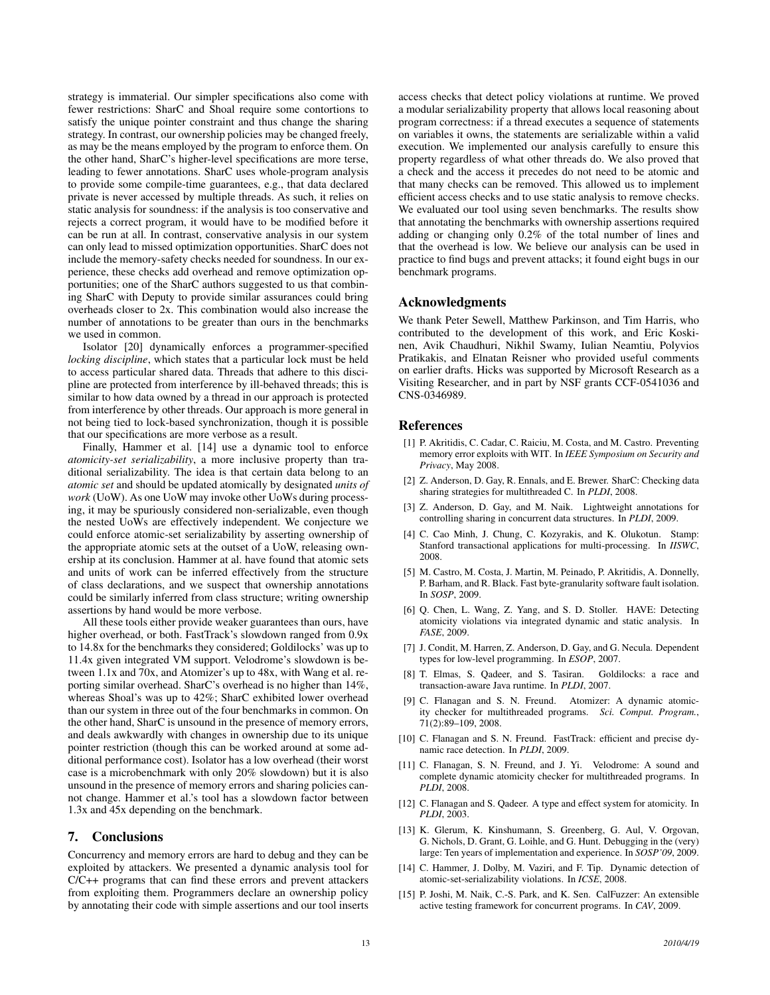strategy is immaterial. Our simpler specifications also come with fewer restrictions: SharC and Shoal require some contortions to satisfy the unique pointer constraint and thus change the sharing strategy. In contrast, our ownership policies may be changed freely, as may be the means employed by the program to enforce them. On the other hand, SharC's higher-level specifications are more terse, leading to fewer annotations. SharC uses whole-program analysis to provide some compile-time guarantees, e.g., that data declared private is never accessed by multiple threads. As such, it relies on static analysis for soundness: if the analysis is too conservative and rejects a correct program, it would have to be modified before it can be run at all. In contrast, conservative analysis in our system can only lead to missed optimization opportunities. SharC does not include the memory-safety checks needed for soundness. In our experience, these checks add overhead and remove optimization opportunities; one of the SharC authors suggested to us that combining SharC with Deputy to provide similar assurances could bring overheads closer to 2x. This combination would also increase the number of annotations to be greater than ours in the benchmarks we used in common.

Isolator [20] dynamically enforces a programmer-specified *locking discipline*, which states that a particular lock must be held to access particular shared data. Threads that adhere to this discipline are protected from interference by ill-behaved threads; this is similar to how data owned by a thread in our approach is protected from interference by other threads. Our approach is more general in not being tied to lock-based synchronization, though it is possible that our specifications are more verbose as a result.

Finally, Hammer et al. [14] use a dynamic tool to enforce *atomicity-set serializability*, a more inclusive property than traditional serializability. The idea is that certain data belong to an *atomic set* and should be updated atomically by designated *units of work* (UoW). As one UoW may invoke other UoWs during processing, it may be spuriously considered non-serializable, even though the nested UoWs are effectively independent. We conjecture we could enforce atomic-set serializability by asserting ownership of the appropriate atomic sets at the outset of a UoW, releasing ownership at its conclusion. Hammer at al. have found that atomic sets and units of work can be inferred effectively from the structure of class declarations, and we suspect that ownership annotations could be similarly inferred from class structure; writing ownership assertions by hand would be more verbose.

All these tools either provide weaker guarantees than ours, have higher overhead, or both. FastTrack's slowdown ranged from 0.9x to 14.8x for the benchmarks they considered; Goldilocks' was up to 11.4x given integrated VM support. Velodrome's slowdown is between 1.1x and 70x, and Atomizer's up to 48x, with Wang et al. reporting similar overhead. SharC's overhead is no higher than 14%, whereas Shoal's was up to 42%; SharC exhibited lower overhead than our system in three out of the four benchmarks in common. On the other hand, SharC is unsound in the presence of memory errors, and deals awkwardly with changes in ownership due to its unique pointer restriction (though this can be worked around at some additional performance cost). Isolator has a low overhead (their worst case is a microbenchmark with only 20% slowdown) but it is also unsound in the presence of memory errors and sharing policies cannot change. Hammer et al.'s tool has a slowdown factor between 1.3x and 45x depending on the benchmark.

# 7. Conclusions

Concurrency and memory errors are hard to debug and they can be exploited by attackers. We presented a dynamic analysis tool for C/C++ programs that can find these errors and prevent attackers from exploiting them. Programmers declare an ownership policy by annotating their code with simple assertions and our tool inserts access checks that detect policy violations at runtime. We proved a modular serializability property that allows local reasoning about program correctness: if a thread executes a sequence of statements on variables it owns, the statements are serializable within a valid execution. We implemented our analysis carefully to ensure this property regardless of what other threads do. We also proved that a check and the access it precedes do not need to be atomic and that many checks can be removed. This allowed us to implement efficient access checks and to use static analysis to remove checks. We evaluated our tool using seven benchmarks. The results show that annotating the benchmarks with ownership assertions required adding or changing only 0.2% of the total number of lines and that the overhead is low. We believe our analysis can be used in practice to find bugs and prevent attacks; it found eight bugs in our benchmark programs.

# Acknowledgments

We thank Peter Sewell, Matthew Parkinson, and Tim Harris, who contributed to the development of this work, and Eric Koskinen, Avik Chaudhuri, Nikhil Swamy, Iulian Neamtiu, Polyvios Pratikakis, and Elnatan Reisner who provided useful comments on earlier drafts. Hicks was supported by Microsoft Research as a Visiting Researcher, and in part by NSF grants CCF-0541036 and CNS-0346989.

# **References**

- [1] P. Akritidis, C. Cadar, C. Raiciu, M. Costa, and M. Castro. Preventing memory error exploits with WIT. In *IEEE Symposium on Security and Privacy*, May 2008.
- [2] Z. Anderson, D. Gay, R. Ennals, and E. Brewer. SharC: Checking data sharing strategies for multithreaded C. In *PLDI*, 2008.
- [3] Z. Anderson, D. Gay, and M. Naik. Lightweight annotations for controlling sharing in concurrent data structures. In *PLDI*, 2009.
- [4] C. Cao Minh, J. Chung, C. Kozyrakis, and K. Olukotun. Stamp: Stanford transactional applications for multi-processing. In *IISWC*, 2008.
- [5] M. Castro, M. Costa, J. Martin, M. Peinado, P. Akritidis, A. Donnelly, P. Barham, and R. Black. Fast byte-granularity software fault isolation. In *SOSP*, 2009.
- [6] Q. Chen, L. Wang, Z. Yang, and S. D. Stoller. HAVE: Detecting atomicity violations via integrated dynamic and static analysis. In *FASE*, 2009.
- [7] J. Condit, M. Harren, Z. Anderson, D. Gay, and G. Necula. Dependent types for low-level programming. In *ESOP*, 2007.
- [8] T. Elmas, S. Qadeer, and S. Tasiran. Goldilocks: a race and transaction-aware Java runtime. In *PLDI*, 2007.
- [9] C. Flanagan and S. N. Freund. Atomizer: A dynamic atomicity checker for multithreaded programs. *Sci. Comput. Program.*, 71(2):89–109, 2008.
- [10] C. Flanagan and S. N. Freund. FastTrack: efficient and precise dynamic race detection. In *PLDI*, 2009.
- [11] C. Flanagan, S. N. Freund, and J. Yi. Velodrome: A sound and complete dynamic atomicity checker for multithreaded programs. In *PLDI*, 2008.
- [12] C. Flanagan and S. Qadeer. A type and effect system for atomicity. In *PLDI*, 2003.
- [13] K. Glerum, K. Kinshumann, S. Greenberg, G. Aul, V. Orgovan, G. Nichols, D. Grant, G. Loihle, and G. Hunt. Debugging in the (very) large: Ten years of implementation and experience. In *SOSP'09*, 2009.
- [14] C. Hammer, J. Dolby, M. Vaziri, and F. Tip. Dynamic detection of atomic-set-serializability violations. In *ICSE*, 2008.
- [15] P. Joshi, M. Naik, C.-S. Park, and K. Sen. CalFuzzer: An extensible active testing framework for concurrent programs. In *CAV*, 2009.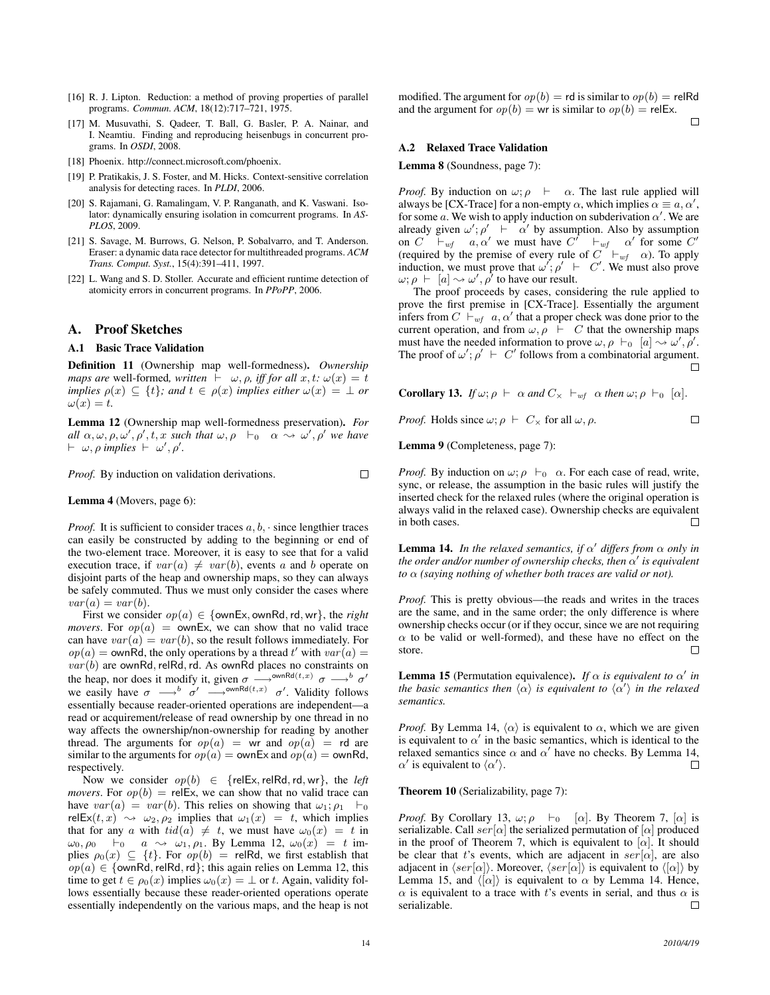- [16] R. J. Lipton. Reduction: a method of proving properties of parallel programs. *Commun. ACM*, 18(12):717–721, 1975.
- [17] M. Musuvathi, S. Qadeer, T. Ball, G. Basler, P. A. Nainar, and I. Neamtiu. Finding and reproducing heisenbugs in concurrent programs. In *OSDI*, 2008.
- [18] Phoenix. http://connect.microsoft.com/phoenix.
- [19] P. Pratikakis, J. S. Foster, and M. Hicks. Context-sensitive correlation analysis for detecting races. In *PLDI*, 2006.
- [20] S. Rajamani, G. Ramalingam, V. P. Ranganath, and K. Vaswani. Isolator: dynamically ensuring isolation in comcurrent programs. In *AS-PLOS*, 2009.
- [21] S. Savage, M. Burrows, G. Nelson, P. Sobalvarro, and T. Anderson. Eraser: a dynamic data race detector for multithreaded programs. *ACM Trans. Comput. Syst.*, 15(4):391–411, 1997.
- [22] L. Wang and S. D. Stoller. Accurate and efficient runtime detection of atomicity errors in concurrent programs. In *PPoPP*, 2006.

# A. Proof Sketches

#### A.1 Basic Trace Validation

Definition 11 (Ownership map well-formedness). *Ownership maps are* well-formed, written  $\vdash \omega$ ,  $\rho$ , iff for all  $x, t: \omega(x) = t$ *implies*  $\rho(x) \subseteq \{t\}$ *; and*  $t \in \rho(x)$  *implies either*  $\omega(x) = \bot$  *or*  $\omega(x) = t.$ 

Lemma 12 (Ownership map well-formedness preservation). *For* all  $\alpha, \omega, \rho, \omega', \rho', t, x$  such that  $\omega, \rho \vdash_0 \alpha \rightarrow \omega', \rho'$  we have  $\vdash \omega, \rho$  *implies*  $\vdash \omega', \rho'.$ 

*Proof.* By induction on validation derivations.  $\Box$ 

Lemma 4 (Movers, page 6):

*Proof.* It is sufficient to consider traces  $a, b, \cdot$  since lengthier traces can easily be constructed by adding to the beginning or end of the two-element trace. Moreover, it is easy to see that for a valid execution trace, if  $var(a) \neq var(b)$ , events a and b operate on disjoint parts of the heap and ownership maps, so they can always be safely commuted. Thus we must only consider the cases where  $var(a) = var(b).$ 

First we consider  $op(a) \in \{ownBx, ownRd, rd, wr\}$ , the *right movers*. For  $op(a) = \text{ownEx}$ , we can show that no valid trace can have  $var(a) = var(b)$ , so the result follows immediately. For  $op(a) =$  ownRd, the only operations by a thread t' with  $var(a) =$  $var(b)$  are ownRd, relRd, rd. As ownRd places no constraints on the heap, nor does it modify it, given  $\sigma \longrightarrow^{\text{ownRd}(t,x)} \sigma \longrightarrow^b \sigma'$ we easily have  $\sigma \longrightarrow^b \sigma' \longrightarrow^{\text{ownRd}(t,x)} \sigma'$ . Validity follows essentially because reader-oriented operations are independent—a read or acquirement/release of read ownership by one thread in no way affects the ownership/non-ownership for reading by another thread. The arguments for  $op(a) =$  wr and  $op(a) =$  rd are similar to the arguments for  $op(a) = \text{ownEx}$  and  $op(a) = \text{ownRd}$ , respectively.

Now we consider  $op(b) \in \{relEx, relRd, rd, wr\}$ , the *left movers*. For  $op(b) = relEx$ , we can show that no valid trace can have  $var(a) = var(b)$ . This relies on showing that  $\omega_1$ ;  $\rho_1$   $\vdash_0$ relEx(t, x)  $\rightsquigarrow \omega_2, \rho_2$  implies that  $\omega_1(x) = t$ , which implies that for any a with  $tid(a) \neq t$ , we must have  $\omega_0(x) = t$  in  $\omega_0, \rho_0$   $\vdash_0$  a  $\leadsto \omega_1, \rho_1$ . By Lemma 12,  $\omega_0(x) = t$  implies  $\rho_0(x) \subseteq \{t\}$ . For  $op(b) =$  relRd, we first establish that  $op(a) \in \{\text{ownRd}, \text{relRd}, \text{rd}\};$  this again relies on Lemma 12, this time to get  $t \in \rho_0(x)$  implies  $\omega_0(x) = \bot$  or t. Again, validity follows essentially because these reader-oriented operations operate essentially independently on the various maps, and the heap is not modified. The argument for  $op(b) =$ rd is similar to  $op(b) =$ relRd and the argument for  $op(b) = wr$  is similar to  $op(b) = relEx$ .  $\Box$ 

#### A.2 Relaxed Trace Validation

Lemma 8 (Soundness, page 7):

*Proof.* By induction on  $\omega$ ;  $\rho \quad \vdash \quad \alpha$ . The last rule applied will always be [CX-Trace] for a non-empty  $\alpha$ , which implies  $\alpha \equiv a, \alpha'$ , for some a. We wish to apply induction on subderivation  $\alpha'$ . We are already given  $\omega'$ ;  $\rho'$  +  $\alpha'$  by assumption. Also by assumption on C  $\overline{\vdash}_{wf}$  a,  $\alpha'$  we must have  $C' \vdash_{wf} \alpha'$  for some C' (required by the premise of every rule of  $C \vdash_{wf} \alpha$ ). To apply induction, we must prove that  $\omega'$ ;  $\rho' + C'$ . We must also prove  $\omega; \rho \vdash [a] \leadsto \omega', \rho'$  to have our result.

The proof proceeds by cases, considering the rule applied to prove the first premise in [CX-Trace]. Essentially the argument infers from  $C \vdash_{wf} a, \alpha'$  that a proper check was done prior to the current operation, and from  $\omega, \rho \vdash C$  that the ownership maps must have the needed information to prove  $\omega, \rho \vdash_0 [a] \leadsto \omega', \rho'.$ The proof of  $\omega'$ ;  $\rho' \vdash C'$  follows from a combinatorial argument.  $\Box$ 

**Corollary 13.** If 
$$
\omega
$$
;  $\rho \vdash \alpha$  and  $C_{\times} \vdash_{wf} \alpha$  then  $\omega$ ;  $\rho \vdash_0 [\alpha]$ .

*Proof.* Holds since 
$$
\omega
$$
;  $\rho \vdash C_{\times}$  for all  $\omega, \rho$ .

Lemma 9 (Completeness, page 7):

*Proof.* By induction on  $\omega$ ;  $\rho \vdash_0 \alpha$ . For each case of read, write, sync, or release, the assumption in the basic rules will justify the inserted check for the relaxed rules (where the original operation is always valid in the relaxed case). Ownership checks are equivalent in both cases. П

**Lemma 14.** In the relaxed semantics, if  $\alpha'$  differs from  $\alpha$  only in *the order and/or number of ownership checks, then* α 0 *is equivalent to* α *(saying nothing of whether both traces are valid or not).*

*Proof.* This is pretty obvious—the reads and writes in the traces are the same, and in the same order; the only difference is where ownership checks occur (or if they occur, since we are not requiring  $\alpha$  to be valid or well-formed), and these have no effect on the store.

**Lemma 15** (Permutation equivalence). If  $\alpha$  is equivalent to  $\alpha'$  in *the basic semantics then*  $\langle \alpha \rangle$  *is equivalent to*  $\langle \alpha' \rangle$  *in the relaxed semantics.*

*Proof.* By Lemma 14,  $\langle \alpha \rangle$  is equivalent to  $\alpha$ , which we are given is equivalent to  $\alpha'$  in the basic semantics, which is identical to the relaxed semantics since  $\alpha$  and  $\alpha'$  have no checks. By Lemma 14,  $\alpha'$  is equivalent to  $\langle \alpha' \rangle$ .  $\Box$ 

#### Theorem 10 (Serializability, page 7):

*Proof.* By Corollary 13,  $\omega$ ;  $\rho \vdash_0 [\alpha]$ . By Theorem 7,  $[\alpha]$  is serializable. Call  $ser[\alpha]$  the serialized permutation of  $[\alpha]$  produced in the proof of Theorem 7, which is equivalent to  $[\alpha]$ . It should be clear that t's events, which are adjacent in  $ser[\alpha]$ , are also adjacent in  $\langle ser[\alpha]\rangle$ . Moreover,  $\langle ser[\alpha]\rangle$  is equivalent to  $\langle[\alpha]\rangle$  by Lemma 15, and  $\langle |\alpha| \rangle$  is equivalent to  $\alpha$  by Lemma 14. Hence,  $\alpha$  is equivalent to a trace with t's events in serial, and thus  $\alpha$  is serializable.  $\Box$